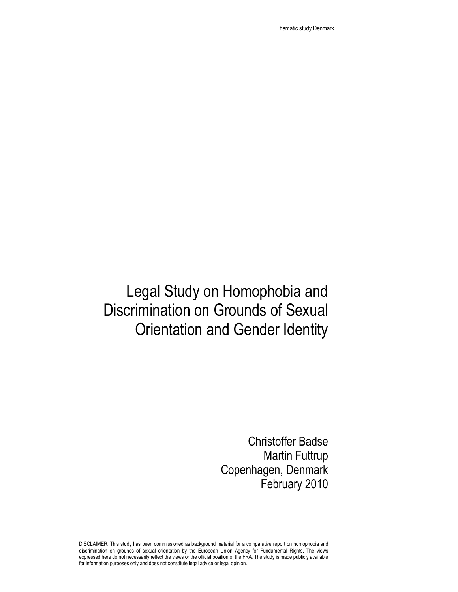Thematic study Denmark

# Legal Study on Homophobia and Discrimination on Grounds of Sexual Orientation and Gender Identity

Christoffer Badse Martin Futtrup Copenhagen, Denmark February 2010

DISCLAIMER: This study has been commissioned as background material for a comparative report on homophobia and discrimination on grounds of sexual orientation by the European Union Agency for Fundamental Rights. The views expressed here do not necessarily reflect the views or the official position of the FRA. The study is made publicly available for information purposes only and does not constitute legal advice or legal opinion.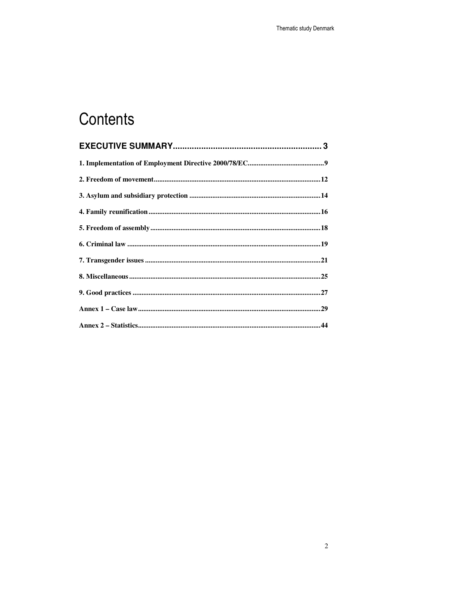# Contents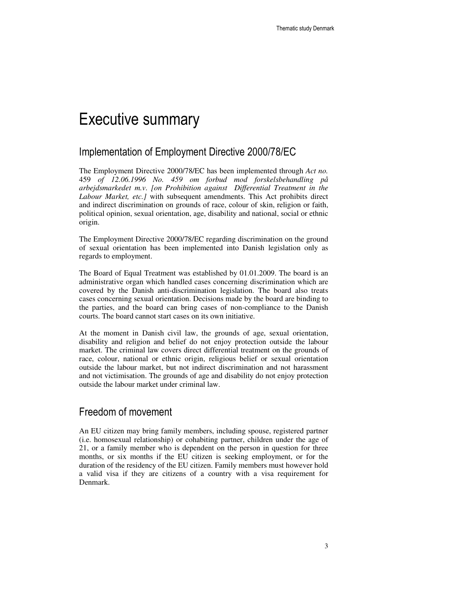# Executive summary

# Implementation of Employment Directive 2000/78/EC

The Employment Directive 2000/78/EC has been implemented through *Act no.* 459 *of 12.06.1996 No. 459 om forbud mod forskelsbehandling på arbejdsmarkedet m.v*. *[on Prohibition against Differential Treatment in the Labour Market, etc.]* with subsequent amendments. This Act prohibits direct and indirect discrimination on grounds of race, colour of skin, religion or faith, political opinion, sexual orientation, age, disability and national, social or ethnic origin.

The Employment Directive 2000/78/EC regarding discrimination on the ground of sexual orientation has been implemented into Danish legislation only as regards to employment.

The Board of Equal Treatment was established by 01.01.2009. The board is an administrative organ which handled cases concerning discrimination which are covered by the Danish anti-discrimination legislation. The board also treats cases concerning sexual orientation. Decisions made by the board are binding to the parties, and the board can bring cases of non-compliance to the Danish courts. The board cannot start cases on its own initiative.

At the moment in Danish civil law, the grounds of age, sexual orientation, disability and religion and belief do not enjoy protection outside the labour market. The criminal law covers direct differential treatment on the grounds of race, colour, national or ethnic origin, religious belief or sexual orientation outside the labour market, but not indirect discrimination and not harassment and not victimisation. The grounds of age and disability do not enjoy protection outside the labour market under criminal law.

## Freedom of movement

An EU citizen may bring family members, including spouse, registered partner (i.e. homosexual relationship) or cohabiting partner, children under the age of 21, or a family member who is dependent on the person in question for three months, or six months if the EU citizen is seeking employment, or for the duration of the residency of the EU citizen. Family members must however hold a valid visa if they are citizens of a country with a visa requirement for Denmark.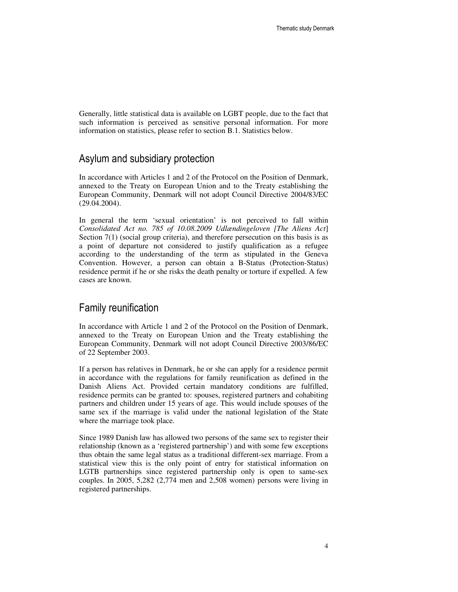Generally, little statistical data is available on LGBT people, due to the fact that such information is perceived as sensitive personal information. For more information on statistics, please refer to section B.1. Statistics below.

# Asylum and subsidiary protection

In accordance with Articles 1 and 2 of the Protocol on the Position of Denmark, annexed to the Treaty on European Union and to the Treaty establishing the European Community, Denmark will not adopt Council Directive 2004/83/EC (29.04.2004).

In general the term 'sexual orientation' is not perceived to fall within *Consolidated Act no. 785 of 10.08.2009 Udlændingeloven [The Aliens Act*] Section 7(1) (social group criteria), and therefore persecution on this basis is as a point of departure not considered to justify qualification as a refugee according to the understanding of the term as stipulated in the Geneva Convention. However, a person can obtain a B-Status (Protection-Status) residence permit if he or she risks the death penalty or torture if expelled. A few cases are known.

## Family reunification

In accordance with Article 1 and 2 of the Protocol on the Position of Denmark, annexed to the Treaty on European Union and the Treaty establishing the European Community, Denmark will not adopt Council Directive 2003/86/EC of 22 September 2003.

If a person has relatives in Denmark, he or she can apply for a residence permit in accordance with the regulations for family reunification as defined in the Danish Aliens Act. Provided certain mandatory conditions are fulfilled, residence permits can be granted to: spouses, registered partners and cohabiting partners and children under 15 years of age. This would include spouses of the same sex if the marriage is valid under the national legislation of the State where the marriage took place.

Since 1989 Danish law has allowed two persons of the same sex to register their relationship (known as a 'registered partnership') and with some few exceptions thus obtain the same legal status as a traditional different-sex marriage. From a statistical view this is the only point of entry for statistical information on LGTB partnerships since registered partnership only is open to same-sex couples. In 2005, 5,282 (2,774 men and 2,508 women) persons were living in registered partnerships.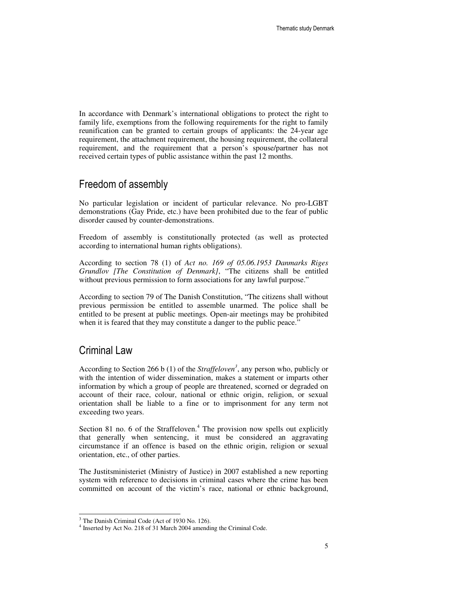In accordance with Denmark's international obligations to protect the right to family life, exemptions from the following requirements for the right to family reunification can be granted to certain groups of applicants: the 24-year age requirement, the attachment requirement, the housing requirement, the collateral requirement, and the requirement that a person's spouse/partner has not received certain types of public assistance within the past 12 months.

# Freedom of assembly

No particular legislation or incident of particular relevance. No pro-LGBT demonstrations (Gay Pride, etc.) have been prohibited due to the fear of public disorder caused by counter-demonstrations.

Freedom of assembly is constitutionally protected (as well as protected according to international human rights obligations).

According to section 78 (1) of *Act no. 169 of 05.06.1953 Danmarks Riges Grundlov [The Constitution of Denmark]*, "The citizens shall be entitled without previous permission to form associations for any lawful purpose."

According to section 79 of The Danish Constitution, "The citizens shall without previous permission be entitled to assemble unarmed. The police shall be entitled to be present at public meetings. Open-air meetings may be prohibited when it is feared that they may constitute a danger to the public peace."

## Criminal Law

According to Section 266 b (1) of the *Straffeloven<sup>3</sup>* , any person who, publicly or with the intention of wider dissemination, makes a statement or imparts other information by which a group of people are threatened, scorned or degraded on account of their race, colour, national or ethnic origin, religion, or sexual orientation shall be liable to a fine or to imprisonment for any term not exceeding two years.

Section 81 no. 6 of the Straffeloven. $4$  The provision now spells out explicitly that generally when sentencing, it must be considered an aggravating circumstance if an offence is based on the ethnic origin, religion or sexual orientation, etc., of other parties.

The Justitsministeriet (Ministry of Justice) in 2007 established a new reporting system with reference to decisions in criminal cases where the crime has been committed on account of the victim's race, national or ethnic background,

<sup>&</sup>lt;sup>3</sup> The Danish Criminal Code (Act of 1930 No. 126).

<sup>4</sup> Inserted by Act No. 218 of 31 March 2004 amending the Criminal Code.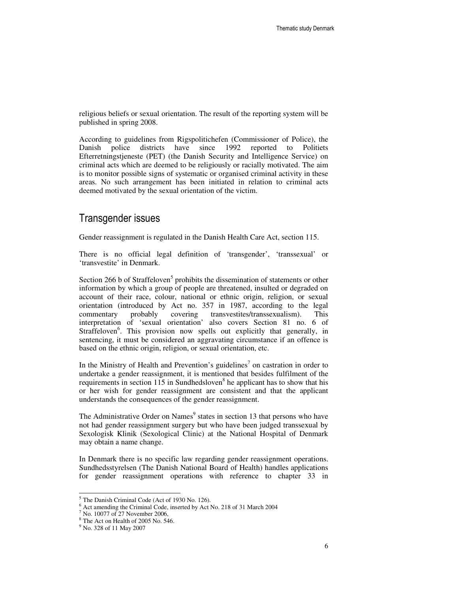religious beliefs or sexual orientation. The result of the reporting system will be published in spring 2008.

According to guidelines from Rigspolitichefen (Commissioner of Police), the Danish police districts have since 1992 reported to Politiets Efterretningstjeneste (PET) (the Danish Security and Intelligence Service) on criminal acts which are deemed to be religiously or racially motivated. The aim is to monitor possible signs of systematic or organised criminal activity in these areas. No such arrangement has been initiated in relation to criminal acts deemed motivated by the sexual orientation of the victim.

## Transgender issues

Gender reassignment is regulated in the Danish Health Care Act, section 115.

There is no official legal definition of 'transgender', 'transsexual' or 'transvestite' in Denmark.

Section 266 b of Straffeloven<sup>5</sup> prohibits the dissemination of statements or other information by which a group of people are threatened, insulted or degraded on account of their race, colour, national or ethnic origin, religion, or sexual orientation (introduced by Act no. 357 in 1987, according to the legal commentary probably covering transvestites/transsexualism). This interpretation of 'sexual orientation' also covers Section 81 no. 6 of Straffeloven<sup>6</sup>. This provision now spells out explicitly that generally, in sentencing, it must be considered an aggravating circumstance if an offence is based on the ethnic origin, religion, or sexual orientation, etc.

In the Ministry of Health and Prevention's guidelines<sup>7</sup> on castration in order to undertake a gender reassignment, it is mentioned that besides fulfilment of the requirements in section 115 in Sundhedsloven<sup>8</sup> he applicant has to show that his or her wish for gender reassignment are consistent and that the applicant understands the consequences of the gender reassignment.

The Administrative Order on Names<sup>9</sup> states in section 13 that persons who have not had gender reassignment surgery but who have been judged transsexual by Sexologisk Klinik (Sexological Clinic) at the National Hospital of Denmark may obtain a name change.

In Denmark there is no specific law regarding gender reassignment operations. Sundhedsstyrelsen (The Danish National Board of Health) handles applications for gender reassignment operations with reference to chapter 33 in

<sup>&</sup>lt;sup>5</sup> The Danish Criminal Code (Act of 1930 No. 126).

<sup>&</sup>lt;sup>6</sup> Act amending the Criminal Code, inserted by Act No. 218 of 31 March 2004

<sup>7</sup> No. 10077 of 27 November 2006,

<sup>&</sup>lt;sup>8</sup> The Act on Health of 2005 No. 546.

<sup>&</sup>lt;sup>9</sup> No. 328 of 11 May 2007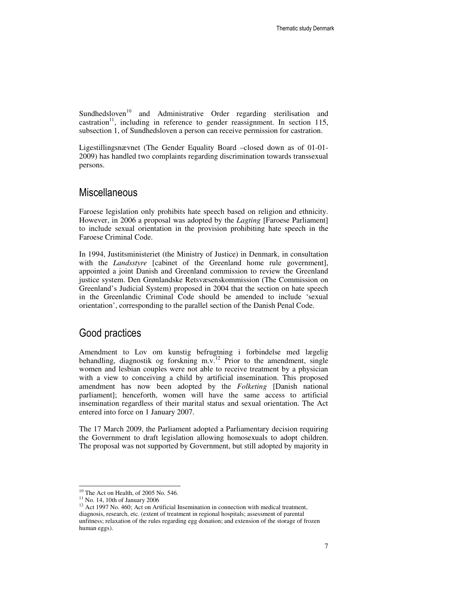Sundhedsloven<sup>10</sup> and Administrative Order regarding sterilisation and castration<sup>11</sup>, including in reference to gender reassignment. In section 115, subsection 1, of Sundhedsloven a person can receive permission for castration.

Ligestillingsnævnet (The Gender Equality Board –closed down as of 01-01- 2009) has handled two complaints regarding discrimination towards transsexual persons.

## **Miscellaneous**

Faroese legislation only prohibits hate speech based on religion and ethnicity. However, in 2006 a proposal was adopted by the *Lagting* [Faroese Parliament] to include sexual orientation in the provision prohibiting hate speech in the Faroese Criminal Code.

In 1994, Justitsministeriet (the Ministry of Justice) in Denmark, in consultation with the *Landsstyre* [cabinet of the Greenland home rule government], appointed a joint Danish and Greenland commission to review the Greenland justice system. Den Grønlandske Retsvæsenskommission (The Commission on Greenland's Judicial System) proposed in 2004 that the section on hate speech in the Greenlandic Criminal Code should be amended to include 'sexual orientation', corresponding to the parallel section of the Danish Penal Code.

# Good practices

Amendment to Lov om kunstig befrugtning i forbindelse med lægelig behandling, diagnostik og forskning m.v. $^{12}$  Prior to the amendment, single women and lesbian couples were not able to receive treatment by a physician with a view to conceiving a child by artificial insemination. This proposed amendment has now been adopted by the *Folketing* [Danish national parliament]; henceforth, women will have the same access to artificial insemination regardless of their marital status and sexual orientation. The Act entered into force on 1 January 2007.

The 17 March 2009, the Parliament adopted a Parliamentary decision requiring the Government to draft legislation allowing homosexuals to adopt children. The proposal was not supported by Government, but still adopted by majority in

 $10$  The Act on Health, of 2005 No. 546.

 $11$  No. 14, 10th of January 2006

<sup>&</sup>lt;sup>12</sup> Act 1997 No. 460; Act on Artificial Insemination in connection with medical treatment, diagnosis, research, etc. (extent of treatment in regional hospitals; assessment of parental unfitness; relaxation of the rules regarding egg donation; and extension of the storage of frozen human eggs).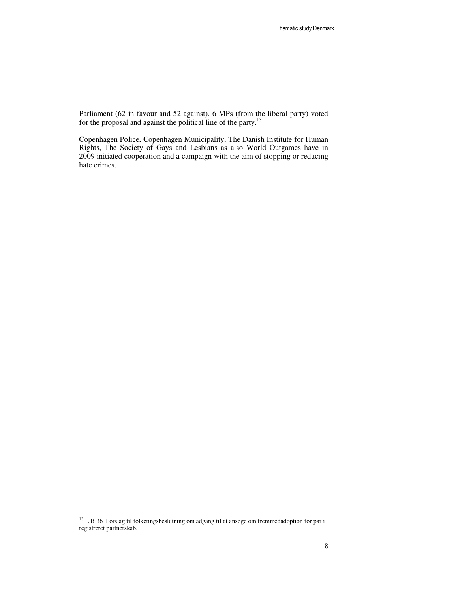Parliament (62 in favour and 52 against). 6 MPs (from the liberal party) voted for the proposal and against the political line of the party.<sup>13</sup>

Copenhagen Police, Copenhagen Municipality, The Danish Institute for Human Rights, The Society of Gays and Lesbians as also World Outgames have in 2009 initiated cooperation and a campaign with the aim of stopping or reducing hate crimes.

<sup>&</sup>lt;sup>13</sup> L B 36 Forslag til folketingsbeslutning om adgang til at ansøge om fremmedadoption for par i registreret partnerskab.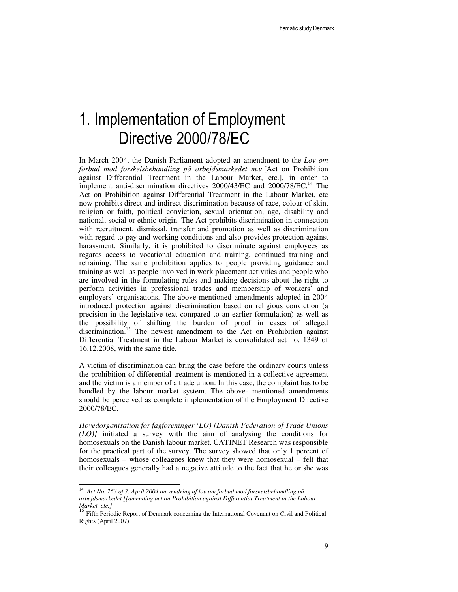# 1. Implementation of Employment Directive 2000/78/EC

In March 2004, the Danish Parliament adopted an amendment to the *Lov om forbud mod forskelsbehandling på arbejdsmarkedet m.v*.[Act on Prohibition against Differential Treatment in the Labour Market, etc.], in order to implement anti-discrimination directives  $2000/43/EC$  and  $2000/78/EC$ <sup>14</sup>. The Act on Prohibition against Differential Treatment in the Labour Market, etc now prohibits direct and indirect discrimination because of race, colour of skin, religion or faith, political conviction, sexual orientation, age, disability and national, social or ethnic origin. The Act prohibits discrimination in connection with recruitment, dismissal, transfer and promotion as well as discrimination with regard to pay and working conditions and also provides protection against harassment. Similarly, it is prohibited to discriminate against employees as regards access to vocational education and training, continued training and retraining. The same prohibition applies to people providing guidance and training as well as people involved in work placement activities and people who are involved in the formulating rules and making decisions about the right to perform activities in professional trades and membership of workers' and employers' organisations. The above-mentioned amendments adopted in 2004 introduced protection against discrimination based on religious conviction (a precision in the legislative text compared to an earlier formulation) as well as the possibility of shifting the burden of proof in cases of alleged discrimination.<sup>15</sup> The newest amendment to the Act on Prohibition against Differential Treatment in the Labour Market is consolidated act no. 1349 of 16.12.2008, with the same title.

A victim of discrimination can bring the case before the ordinary courts unless the prohibition of differential treatment is mentioned in a collective agreement and the victim is a member of a trade union. In this case, the complaint has to be handled by the labour market system. The above- mentioned amendments should be perceived as complete implementation of the Employment Directive 2000/78/EC.

*Hovedorganisation for fagforeninger (LO) [Danish Federation of Trade Unions (LO)]* initiated a survey with the aim of analysing the conditions for homosexuals on the Danish labour market. CATINET Research was responsible for the practical part of the survey. The survey showed that only 1 percent of homosexuals – whose colleagues knew that they were homosexual – felt that their colleagues generally had a negative attitude to the fact that he or she was

 14 *Act No. 253 of 7. April 2004 om ændring af lov om forbud mod forskelsbehandling på arbejdsmarkedet [[amending act on Prohibition against Differential Treatment in the Labour Market, etc.]*

<sup>&</sup>lt;sup>15</sup> Fifth Periodic Report of Denmark concerning the International Covenant on Civil and Political Rights (April 2007)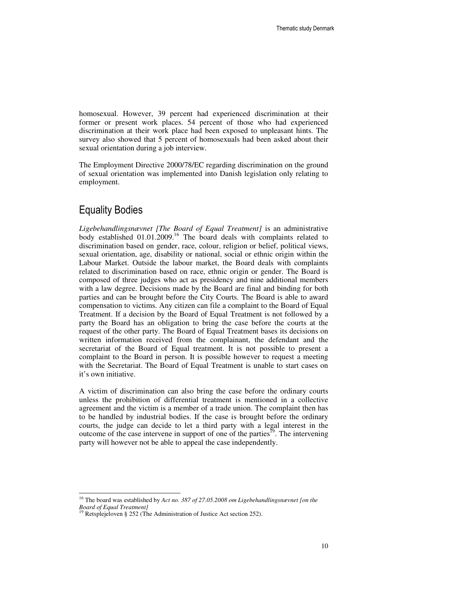homosexual. However, 39 percent had experienced discrimination at their former or present work places. 54 percent of those who had experienced discrimination at their work place had been exposed to unpleasant hints. The survey also showed that 5 percent of homosexuals had been asked about their sexual orientation during a job interview.

The Employment Directive 2000/78/EC regarding discrimination on the ground of sexual orientation was implemented into Danish legislation only relating to employment.

## Equality Bodies

-

*Ligebehandlingsnævnet [The Board of Equal Treatment]* is an administrative body established 01.01.2009.<sup>16</sup> The board deals with complaints related to discrimination based on gender, race, colour, religion or belief, political views, sexual orientation, age, disability or national, social or ethnic origin within the Labour Market. Outside the labour market, the Board deals with complaints related to discrimination based on race, ethnic origin or gender. The Board is composed of three judges who act as presidency and nine additional members with a law degree. Decisions made by the Board are final and binding for both parties and can be brought before the City Courts. The Board is able to award compensation to victims. Any citizen can file a complaint to the Board of Equal Treatment. If a decision by the Board of Equal Treatment is not followed by a party the Board has an obligation to bring the case before the courts at the request of the other party. The Board of Equal Treatment bases its decisions on written information received from the complainant, the defendant and the secretariat of the Board of Equal treatment. It is not possible to present a complaint to the Board in person. It is possible however to request a meeting with the Secretariat. The Board of Equal Treatment is unable to start cases on it's own initiative.

A victim of discrimination can also bring the case before the ordinary courts unless the prohibition of differential treatment is mentioned in a collective agreement and the victim is a member of a trade union. The complaint then has to be handled by industrial bodies. If the case is brought before the ordinary courts, the judge can decide to let a third party with a legal interest in the outcome of the case intervene in support of one of the parties<sup>19</sup>. The intervening party will however not be able to appeal the case independently.

<sup>16</sup> The board was established by *Act no. 387 of 27.05.2008 om Ligebehandlingsnævnet [on the Board of Equal Treatment]*

<sup>&</sup>lt;sup>19</sup> Retsplejeloven § 252 (The Administration of Justice Act section 252).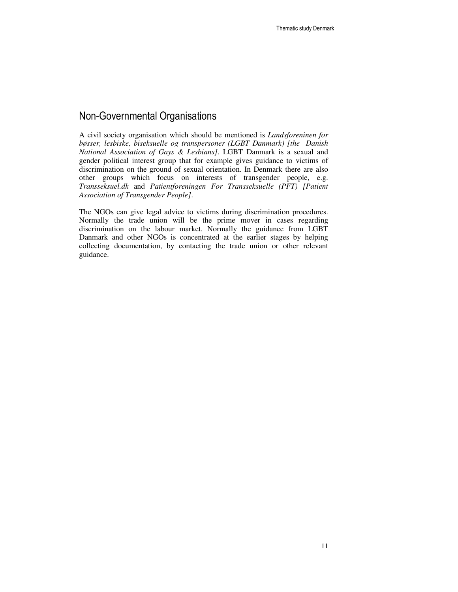# Non-Governmental Organisations

A civil society organisation which should be mentioned is *Landsforeninen for bøsser, lesbiske, biseksuelle og transpersoner (LGBT Danmark) [the Danish National Association of Gays & Lesbians]*. LGBT Danmark is a sexual and gender political interest group that for example gives guidance to victims of discrimination on the ground of sexual orientation. In Denmark there are also other groups which focus on interests of transgender people, e.g. *Transseksuel.dk* and *Patientforeningen For Transseksuelle (PFT) [Patient Association of Transgender People]*.

The NGOs can give legal advice to victims during discrimination procedures. Normally the trade union will be the prime mover in cases regarding discrimination on the labour market. Normally the guidance from LGBT Danmark and other NGOs is concentrated at the earlier stages by helping collecting documentation, by contacting the trade union or other relevant guidance.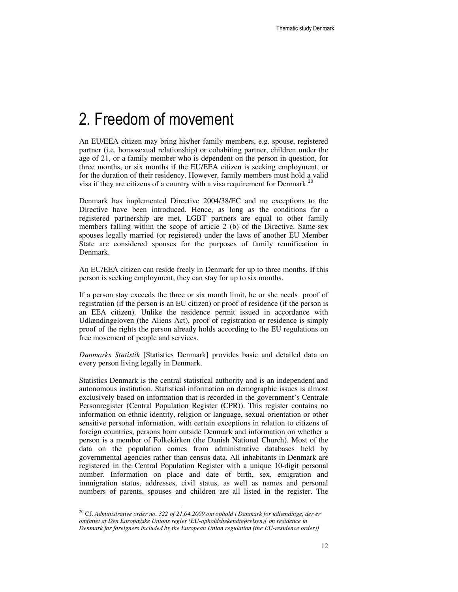# 2. Freedom of movement

An EU/EEA citizen may bring his/her family members, e.g. spouse, registered partner (i.e. homosexual relationship) or cohabiting partner, children under the age of 21, or a family member who is dependent on the person in question, for three months, or six months if the EU/EEA citizen is seeking employment, or for the duration of their residency. However, family members must hold a valid visa if they are citizens of a country with a visa requirement for Denmark.<sup>20</sup>

Denmark has implemented Directive 2004/38/EC and no exceptions to the Directive have been introduced. Hence, as long as the conditions for a registered partnership are met, LGBT partners are equal to other family members falling within the scope of article 2 (b) of the Directive. Same-sex spouses legally married (or registered) under the laws of another EU Member State are considered spouses for the purposes of family reunification in Denmark.

An EU/EEA citizen can reside freely in Denmark for up to three months. If this person is seeking employment, they can stay for up to six months.

If a person stay exceeds the three or six month limit, he or she needs proof of registration (if the person is an EU citizen) or proof of residence (if the person is an EEA citizen). Unlike the residence permit issued in accordance with Udlændingeloven (the Aliens Act), proof of registration or residence is simply proof of the rights the person already holds according to the EU regulations on free movement of people and services.

*Danmarks Statistik* [Statistics Denmark] provides basic and detailed data on every person living legally in Denmark.

Statistics Denmark is the central statistical authority and is an independent and autonomous institution. Statistical information on demographic issues is almost exclusively based on information that is recorded in the government's Centrale Personregister (Central Population Register (CPR)). This register contains no information on ethnic identity, religion or language, sexual orientation or other sensitive personal information, with certain exceptions in relation to citizens of foreign countries, persons born outside Denmark and information on whether a person is a member of Folkekirken (the Danish National Church). Most of the data on the population comes from administrative databases held by governmental agencies rather than census data. All inhabitants in Denmark are registered in the Central Population Register with a unique 10-digit personal number. Information on place and date of birth, sex, emigration and immigration status, addresses, civil status, as well as names and personal numbers of parents, spouses and children are all listed in the register. The

<sup>&</sup>lt;sup>20</sup> Cf. Administrative order no. 322 of 21.04.2009 om ophold i Danmark for udlændinge, der er *omfattet af Den Europæiske Unions regler (EU-opholdsbekendtgørelsen)[ on residence in Denmark for foreigners included by the European Union regulation (the EU-residence order)]*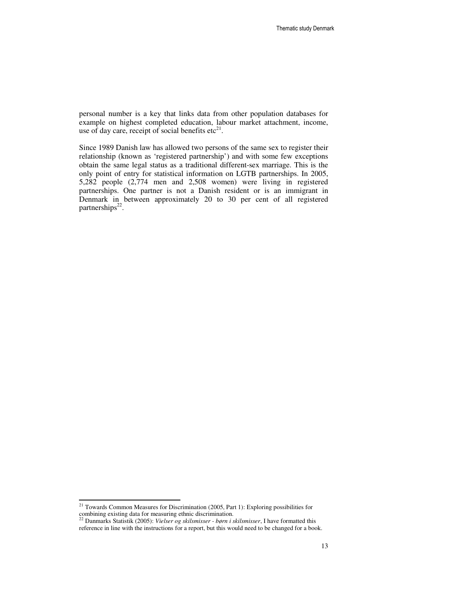personal number is a key that links data from other population databases for example on highest completed education, labour market attachment, income, use of day care, receipt of social benefits  $\text{etc}^{21}$ .

Since 1989 Danish law has allowed two persons of the same sex to register their relationship (known as 'registered partnership') and with some few exceptions obtain the same legal status as a traditional different-sex marriage. This is the only point of entry for statistical information on LGTB partnerships. In 2005, 5,282 people (2,774 men and 2,508 women) were living in registered partnerships. One partner is not a Danish resident or is an immigrant in Denmark in between approximately 20 to 30 per cent of all registered partnerships<sup>22</sup>.

 $21$  Towards Common Measures for Discrimination (2005, Part 1): Exploring possibilities for

combining existing data for measuring ethnic discrimination. <sup>22</sup> Danmarks Statistik (2005): *Vielser og skilsmisser - børn i skilsmisser*, I have formatted this reference in line with the instructions for a report, but this would need to be changed for a book.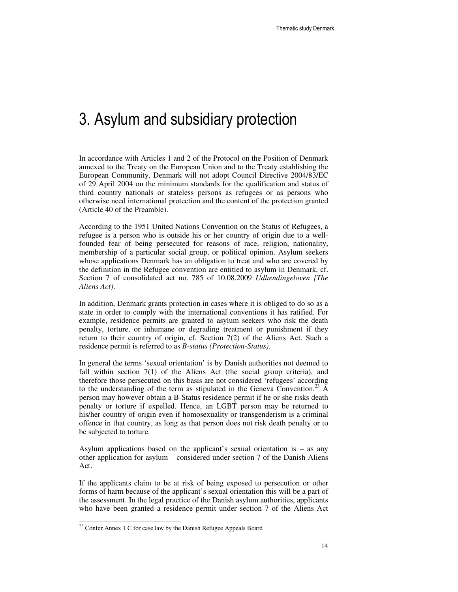# 3. Asylum and subsidiary protection

In accordance with Articles 1 and 2 of the Protocol on the Position of Denmark annexed to the Treaty on the European Union and to the Treaty establishing the European Community, Denmark will not adopt Council Directive 2004/83/EC of 29 April 2004 on the minimum standards for the qualification and status of third country nationals or stateless persons as refugees or as persons who otherwise need international protection and the content of the protection granted (Article 40 of the Preamble).

According to the 1951 United Nations Convention on the Status of Refugees, a refugee is a person who is outside his or her country of origin due to a wellfounded fear of being persecuted for reasons of race, religion, nationality, membership of a particular social group, or political opinion. Asylum seekers whose applications Denmark has an obligation to treat and who are covered by the definition in the Refugee convention are entitled to asylum in Denmark, cf. Section 7 of consolidated act no. 785 of 10.08.2009 *Udlændingeloven [The Aliens Act]*.

In addition, Denmark grants protection in cases where it is obliged to do so as a state in order to comply with the international conventions it has ratified. For example, residence permits are granted to asylum seekers who risk the death penalty, torture, or inhumane or degrading treatment or punishment if they return to their country of origin, cf. Section 7(2) of the Aliens Act. Such a residence permit is referred to as *B-status (Protection-Status)*.

In general the terms 'sexual orientation' is by Danish authorities not deemed to fall within section 7(1) of the Aliens Act (the social group criteria), and therefore those persecuted on this basis are not considered 'refugees' according to the understanding of the term as stipulated in the Geneva Convention.<sup>23</sup> A person may however obtain a B-Status residence permit if he or she risks death penalty or torture if expelled. Hence, an LGBT person may be returned to his/her country of origin even if homosexuality or transgenderism is a criminal offence in that country, as long as that person does not risk death penalty or to be subjected to torture.

Asylum applications based on the applicant's sexual orientation is – as any other application for asylum – considered under section 7 of the Danish Aliens Act.

If the applicants claim to be at risk of being exposed to persecution or other forms of harm because of the applicant's sexual orientation this will be a part of the assessment. In the legal practice of the Danish asylum authorities, applicants who have been granted a residence permit under section 7 of the Aliens Act

<sup>&</sup>lt;sup>23</sup> Confer Annex 1 C for case law by the Danish Refugee Appeals Board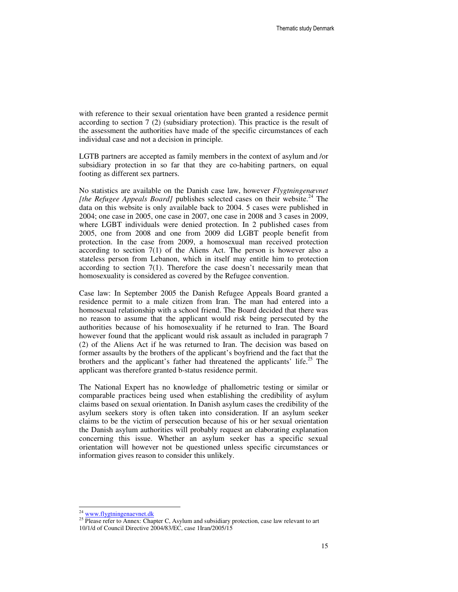with reference to their sexual orientation have been granted a residence permit according to section 7 (2) (subsidiary protection). This practice is the result of the assessment the authorities have made of the specific circumstances of each individual case and not a decision in principle.

LGTB partners are accepted as family members in the context of asylum and /or subsidiary protection in so far that they are co-habiting partners, on equal footing as different sex partners.

No statistics are available on the Danish case law, however *Flygtningenævnet [the Refugee Appeals Board]* publishes selected cases on their website.<sup>24</sup> The data on this website is only available back to 2004. 5 cases were published in 2004; one case in 2005, one case in 2007, one case in 2008 and 3 cases in 2009, where LGBT individuals were denied protection. In 2 published cases from 2005, one from 2008 and one from 2009 did LGBT people benefit from protection. In the case from 2009, a homosexual man received protection according to section 7(1) of the Aliens Act. The person is however also a stateless person from Lebanon, which in itself may entitle him to protection according to section 7(1). Therefore the case doesn't necessarily mean that homosexuality is considered as covered by the Refugee convention.

Case law: In September 2005 the Danish Refugee Appeals Board granted a residence permit to a male citizen from Iran. The man had entered into a homosexual relationship with a school friend. The Board decided that there was no reason to assume that the applicant would risk being persecuted by the authorities because of his homosexuality if he returned to Iran. The Board however found that the applicant would risk assault as included in paragraph 7 (2) of the Aliens Act if he was returned to Iran. The decision was based on former assaults by the brothers of the applicant's boyfriend and the fact that the brothers and the applicant's father had threatened the applicants' life.<sup>25</sup> The applicant was therefore granted b-status residence permit.

The National Expert has no knowledge of phallometric testing or similar or comparable practices being used when establishing the credibility of asylum claims based on sexual orientation. In Danish asylum cases the credibility of the asylum seekers story is often taken into consideration. If an asylum seeker claims to be the victim of persecution because of his or her sexual orientation the Danish asylum authorities will probably request an elaborating explanation concerning this issue. Whether an asylum seeker has a specific sexual orientation will however not be questioned unless specific circumstances or information gives reason to consider this unlikely.

<sup>&</sup>lt;sup>24</sup> www.flygtningenaevnet.dk

<sup>&</sup>lt;sup>25</sup> Please refer to Annex: Chapter C, Asylum and subsidiary protection, case law relevant to art 10/1/d of Council Directive 2004/83/EC, case 1Iran/2005/15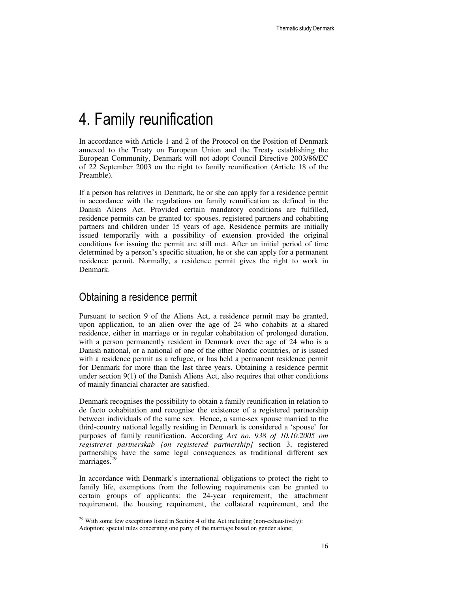# 4. Family reunification

In accordance with Article 1 and 2 of the Protocol on the Position of Denmark annexed to the Treaty on European Union and the Treaty establishing the European Community, Denmark will not adopt Council Directive 2003/86/EC of 22 September 2003 on the right to family reunification (Article 18 of the Preamble).

If a person has relatives in Denmark, he or she can apply for a residence permit in accordance with the regulations on family reunification as defined in the Danish Aliens Act. Provided certain mandatory conditions are fulfilled, residence permits can be granted to: spouses, registered partners and cohabiting partners and children under 15 years of age. Residence permits are initially issued temporarily with a possibility of extension provided the original conditions for issuing the permit are still met. After an initial period of time determined by a person's specific situation, he or she can apply for a permanent residence permit. Normally, a residence permit gives the right to work in Denmark.

## Obtaining a residence permit

Pursuant to section 9 of the Aliens Act, a residence permit may be granted, upon application, to an alien over the age of 24 who cohabits at a shared residence, either in marriage or in regular cohabitation of prolonged duration, with a person permanently resident in Denmark over the age of 24 who is a Danish national, or a national of one of the other Nordic countries, or is issued with a residence permit as a refugee, or has held a permanent residence permit for Denmark for more than the last three years. Obtaining a residence permit under section 9(1) of the Danish Aliens Act, also requires that other conditions of mainly financial character are satisfied.

Denmark recognises the possibility to obtain a family reunification in relation to de facto cohabitation and recognise the existence of a registered partnership between individuals of the same sex. Hence, a same-sex spouse married to the third-country national legally residing in Denmark is considered a 'spouse' for purposes of family reunification. According *Act no. 938 of 10.10.2005 om registreret partnerskab [on registered partnership]* section 3, registered partnerships have the same legal consequences as traditional different sex marriages.<sup>29</sup>

In accordance with Denmark's international obligations to protect the right to family life, exemptions from the following requirements can be granted to certain groups of applicants: the 24-year requirement, the attachment requirement, the housing requirement, the collateral requirement, and the

<sup>-</sup> $29$  With some few exceptions listed in Section 4 of the Act including (non-exhaustively):

Adoption; special rules concerning one party of the marriage based on gender alone;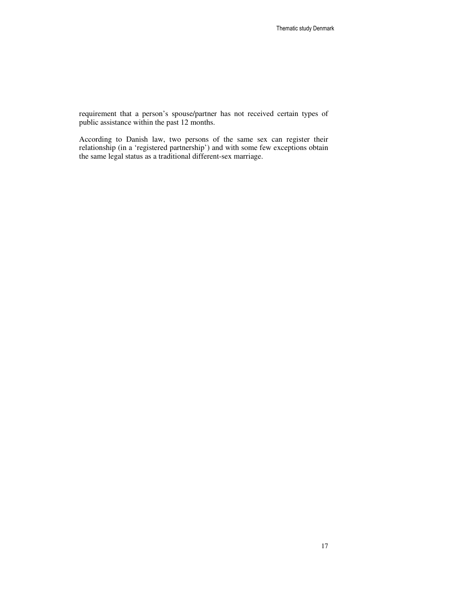requirement that a person's spouse/partner has not received certain types of public assistance within the past 12 months.

According to Danish law, two persons of the same sex can register their relationship (in a 'registered partnership') and with some few exceptions obtain the same legal status as a traditional different-sex marriage.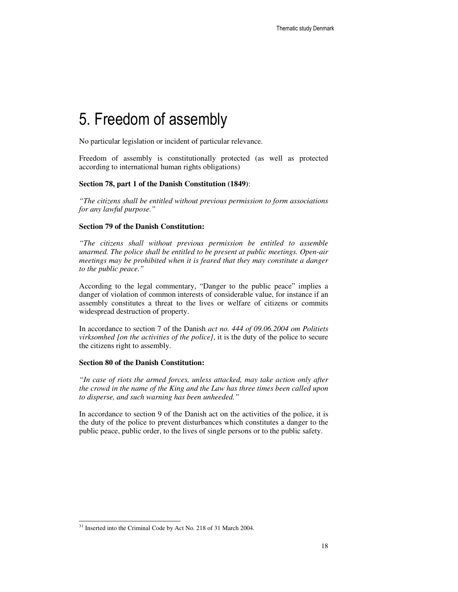# 5. Freedom of assembly

No particular legislation or incident of particular relevance.

Freedom of assembly is constitutionally protected (as well as protected according to international human rights obligations)

#### **Section 78, part 1 of the Danish Constitution (1849)**:

*"The citizens shall be entitled without previous permission to form associations for any lawful purpose."* 

#### **Section 79 of the Danish Constitution:**

*"The citizens shall without previous permission be entitled to assemble unarmed. The police shall be entitled to be present at public meetings. Open-air meetings may be prohibited when it is feared that they may constitute a danger to the public peace."* 

According to the legal commentary, "Danger to the public peace" implies a danger of violation of common interests of considerable value, for instance if an assembly constitutes a threat to the lives or welfare of citizens or commits widespread destruction of property.

In accordance to section 7 of the Danish *act no. 444 of 09.06.2004 om Politiets virksomhed [on the activities of the police]*, it is the duty of the police to secure the citizens right to assembly.

#### **Section 80 of the Danish Constitution:**

*"In case of riots the armed forces, unless attacked, may take action only after the crowd in the name of the King and the Law has three times been called upon to disperse, and such warning has been unheeded."* 

In accordance to section 9 of the Danish act on the activities of the police, it is the duty of the police to prevent disturbances which constitutes a danger to the public peace, public order, to the lives of single persons or to the public safety.

<sup>&</sup>lt;sup>31</sup> Inserted into the Criminal Code by Act No. 218 of 31 March 2004.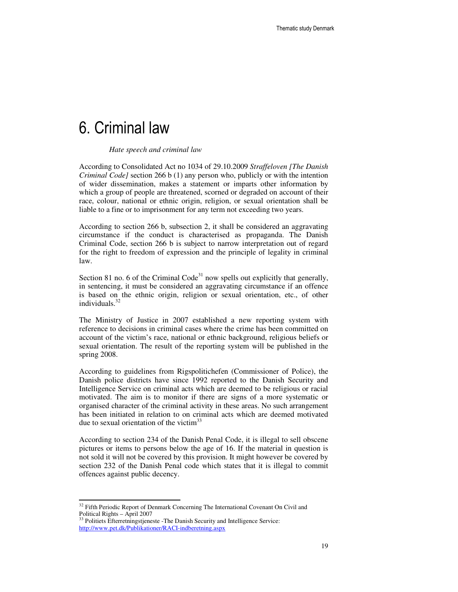# 6. Criminal law

#### *Hate speech and criminal law*

According to Consolidated Act no 1034 of 29.10.2009 *Straffeloven [The Danish Criminal Code]* section 266 b (1) any person who, publicly or with the intention of wider dissemination, makes a statement or imparts other information by which a group of people are threatened, scorned or degraded on account of their race, colour, national or ethnic origin, religion, or sexual orientation shall be liable to a fine or to imprisonment for any term not exceeding two years.

According to section 266 b, subsection 2, it shall be considered an aggravating circumstance if the conduct is characterised as propaganda. The Danish Criminal Code, section 266 b is subject to narrow interpretation out of regard for the right to freedom of expression and the principle of legality in criminal law.

Section 81 no. 6 of the Criminal Code<sup>31</sup> now spells out explicitly that generally, in sentencing, it must be considered an aggravating circumstance if an offence is based on the ethnic origin, religion or sexual orientation, etc., of other individuals.<sup>32</sup>

The Ministry of Justice in 2007 established a new reporting system with reference to decisions in criminal cases where the crime has been committed on account of the victim's race, national or ethnic background, religious beliefs or sexual orientation. The result of the reporting system will be published in the spring 2008.

According to guidelines from Rigspolitichefen (Commissioner of Police), the Danish police districts have since 1992 reported to the Danish Security and Intelligence Service on criminal acts which are deemed to be religious or racial motivated. The aim is to monitor if there are signs of a more systematic or organised character of the criminal activity in these areas. No such arrangement has been initiated in relation to on criminal acts which are deemed motivated due to sexual orientation of the victim<sup>33</sup>

According to section 234 of the Danish Penal Code, it is illegal to sell obscene pictures or items to persons below the age of 16. If the material in question is not sold it will not be covered by this provision. It might however be covered by section 232 of the Danish Penal code which states that it is illegal to commit offences against public decency.

 $32$  Fifth Periodic Report of Denmark Concerning The International Covenant On Civil and Political Rights – April 2007 <sup>33</sup> Politiets Efterretningstjeneste -The Danish Security and Intelligence Service:

http://www.pet.dk/Publikationer/RACI-indberetning.aspx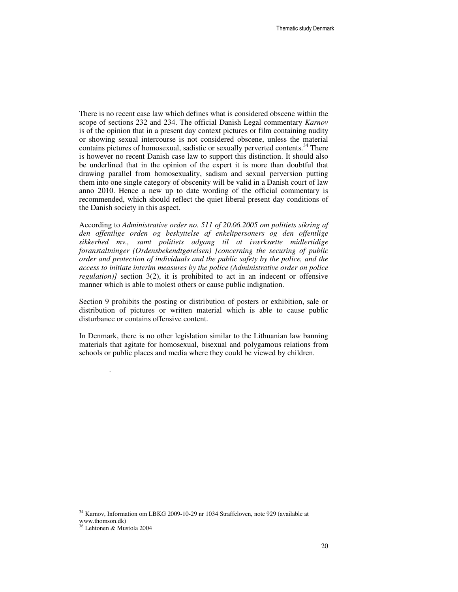There is no recent case law which defines what is considered obscene within the scope of sections 232 and 234. The official Danish Legal commentary *Karnov* is of the opinion that in a present day context pictures or film containing nudity or showing sexual intercourse is not considered obscene, unless the material contains pictures of homosexual, sadistic or sexually perverted contents.<sup>34</sup> There is however no recent Danish case law to support this distinction. It should also be underlined that in the opinion of the expert it is more than doubtful that drawing parallel from homosexuality, sadism and sexual perversion putting them into one single category of obscenity will be valid in a Danish court of law anno 2010. Hence a new up to date wording of the official commentary is recommended, which should reflect the quiet liberal present day conditions of the Danish society in this aspect.

According to *Administrative order no. 511 of 20.06.2005 om politiets sikring af den offentlige orden og beskyttelse af enkeltpersoners og den offentlige sikkerhed mv., samt politiets adgang til at iværksætte midlertidige foranstaltninger (Ordensbekendtgørelsen) [concerning the securing of public order and protection of individuals and the public safety by the police, and the access to initiate interim measures by the police (Administrative order on police regulation*)*]* section 3(2), it is prohibited to act in an indecent or offensive manner which is able to molest others or cause public indignation.

Section 9 prohibits the posting or distribution of posters or exhibition, sale or distribution of pictures or written material which is able to cause public disturbance or contains offensive content.

In Denmark, there is no other legislation similar to the Lithuanian law banning materials that agitate for homosexual, bisexual and polygamous relations from schools or public places and media where they could be viewed by children.

-

.

<sup>&</sup>lt;sup>34</sup> Karnov, Information om LBKG 2009-10-29 nr 1034 Straffeloven, note 929 (available at www.thomson.dk)

<sup>36</sup> Lehtonen & Mustola 2004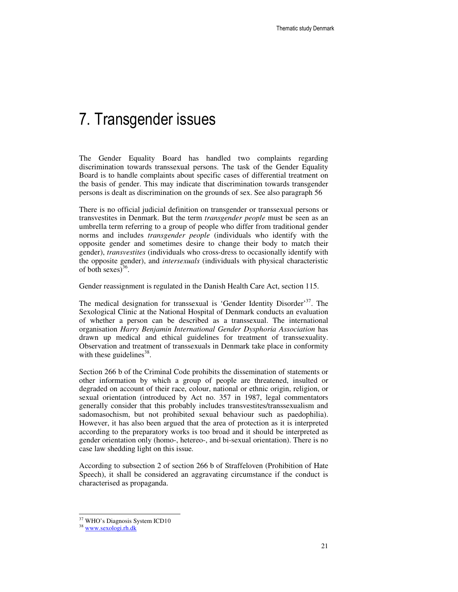# 7. Transgender issues

The Gender Equality Board has handled two complaints regarding discrimination towards transsexual persons. The task of the Gender Equality Board is to handle complaints about specific cases of differential treatment on the basis of gender. This may indicate that discrimination towards transgender persons is dealt as discrimination on the grounds of sex. See also paragraph 56

There is no official judicial definition on transgender or transsexual persons or transvestites in Denmark. But the term *transgender people* must be seen as an umbrella term referring to a group of people who differ from traditional gender norms and includes *transgender people* (individuals who identify with the opposite gender and sometimes desire to change their body to match their gender), *transvestites* (individuals who cross-dress to occasionally identify with the opposite gender), and *intersexuals* (individuals with physical characteristic of both sexes) $36$ .

Gender reassignment is regulated in the Danish Health Care Act, section 115.

The medical designation for transsexual is 'Gender Identity Disorder'<sup>37</sup>. The Sexological Clinic at the National Hospital of Denmark conducts an evaluation of whether a person can be described as a transsexual. The international organisation *Harry Benjamin International Gender Dysphoria Association* has drawn up medical and ethical guidelines for treatment of transsexuality. Observation and treatment of transsexuals in Denmark take place in conformity with these guidelines<sup>38</sup>.

Section 266 b of the Criminal Code prohibits the dissemination of statements or other information by which a group of people are threatened, insulted or degraded on account of their race, colour, national or ethnic origin, religion, or sexual orientation (introduced by Act no. 357 in 1987, legal commentators generally consider that this probably includes transvestites/transsexualism and sadomasochism, but not prohibited sexual behaviour such as paedophilia). However, it has also been argued that the area of protection as it is interpreted according to the preparatory works is too broad and it should be interpreted as gender orientation only (homo-, hetereo-, and bi-sexual orientation). There is no case law shedding light on this issue.

According to subsection 2 of section 266 b of Straffeloven (Prohibition of Hate Speech), it shall be considered an aggravating circumstance if the conduct is characterised as propaganda.

<sup>&</sup>lt;sup>37</sup> WHO's Diagnosis System ICD10

<sup>38</sup> www.sexologi.rh.dk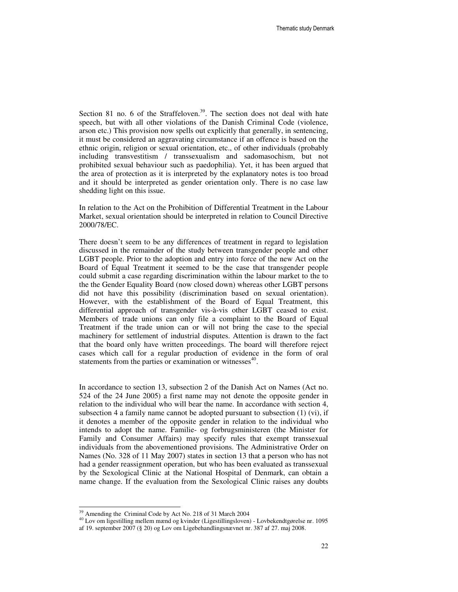Section 81 no. 6 of the Straffeloven.<sup>39</sup>. The section does not deal with hate speech, but with all other violations of the Danish Criminal Code (violence, arson etc.) This provision now spells out explicitly that generally, in sentencing, it must be considered an aggravating circumstance if an offence is based on the ethnic origin, religion or sexual orientation, etc., of other individuals (probably including transvestitism / transsexualism and sadomasochism, but not prohibited sexual behaviour such as paedophilia). Yet, it has been argued that the area of protection as it is interpreted by the explanatory notes is too broad and it should be interpreted as gender orientation only. There is no case law shedding light on this issue.

In relation to the Act on the Prohibition of Differential Treatment in the Labour Market, sexual orientation should be interpreted in relation to Council Directive 2000/78/EC.

There doesn't seem to be any differences of treatment in regard to legislation discussed in the remainder of the study between transgender people and other LGBT people. Prior to the adoption and entry into force of the new Act on the Board of Equal Treatment it seemed to be the case that transgender people could submit a case regarding discrimination within the labour market to the to the the Gender Equality Board (now closed down) whereas other LGBT persons did not have this possibility (discrimination based on sexual orientation). However, with the establishment of the Board of Equal Treatment, this differential approach of transgender vis-à-vis other LGBT ceased to exist. Members of trade unions can only file a complaint to the Board of Equal Treatment if the trade union can or will not bring the case to the special machinery for settlement of industrial disputes. Attention is drawn to the fact that the board only have written proceedings. The board will therefore reject cases which call for a regular production of evidence in the form of oral statements from the parties or examination or witnesses<sup>40</sup>.

In accordance to section 13, subsection 2 of the Danish Act on Names (Act no. 524 of the 24 June 2005) a first name may not denote the opposite gender in relation to the individual who will bear the name. In accordance with section 4, subsection 4 a family name cannot be adopted pursuant to subsection  $(1)$  (vi), if it denotes a member of the opposite gender in relation to the individual who intends to adopt the name. Familie- og forbrugsministeren (the Minister for Family and Consumer Affairs) may specify rules that exempt transsexual individuals from the abovementioned provisions. The Administrative Order on Names (No. 328 of 11 May 2007) states in section 13 that a person who has not had a gender reassignment operation, but who has been evaluated as transsexual by the Sexological Clinic at the National Hospital of Denmark, can obtain a name change. If the evaluation from the Sexological Clinic raises any doubts

<sup>&</sup>lt;sup>39</sup> Amending the Criminal Code by Act No. 218 of 31 March 2004

<sup>&</sup>lt;sup>40</sup> Lov om ligestilling mellem mænd og kvinder (Ligestillingsloven) - Lovbekendtgørelse nr. 1095 af 19. september 2007 (§ 20) og Lov om Ligebehandlingsnævnet nr. 387 af 27. maj 2008.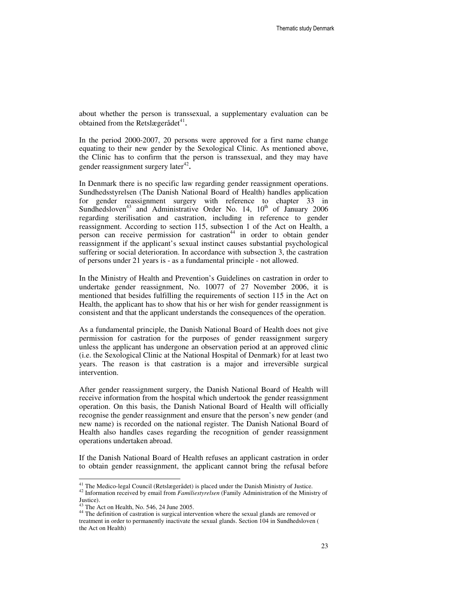about whether the person is transsexual, a supplementary evaluation can be obtained from the Retslægerådet<sup>41</sup>.

In the period 2000-2007, 20 persons were approved for a first name change equating to their new gender by the Sexological Clinic. As mentioned above, the Clinic has to confirm that the person is transsexual, and they may have gender reassignment surgery later $42$ .

In Denmark there is no specific law regarding gender reassignment operations. Sundhedsstyrelsen (The Danish National Board of Health) handles application for gender reassignment surgery with reference to chapter 33 in Sundhedsloven<sup>43</sup> and Administrative Order No. 14,  $10^{th}$  of January 2006 regarding sterilisation and castration, including in reference to gender reassignment. According to section 115, subsection 1 of the Act on Health, a person can receive permission for castration<sup>44</sup> in order to obtain gender reassignment if the applicant's sexual instinct causes substantial psychological suffering or social deterioration. In accordance with subsection 3, the castration of persons under 21 years is - as a fundamental principle - not allowed.

In the Ministry of Health and Prevention's Guidelines on castration in order to undertake gender reassignment, No. 10077 of 27 November 2006, it is mentioned that besides fulfilling the requirements of section 115 in the Act on Health, the applicant has to show that his or her wish for gender reassignment is consistent and that the applicant understands the consequences of the operation.

As a fundamental principle, the Danish National Board of Health does not give permission for castration for the purposes of gender reassignment surgery unless the applicant has undergone an observation period at an approved clinic (i.e. the Sexological Clinic at the National Hospital of Denmark) for at least two years. The reason is that castration is a major and irreversible surgical intervention.

After gender reassignment surgery, the Danish National Board of Health will receive information from the hospital which undertook the gender reassignment operation. On this basis, the Danish National Board of Health will officially recognise the gender reassignment and ensure that the person's new gender (and new name) is recorded on the national register. The Danish National Board of Health also handles cases regarding the recognition of gender reassignment operations undertaken abroad.

If the Danish National Board of Health refuses an applicant castration in order to obtain gender reassignment, the applicant cannot bring the refusal before

<sup>&</sup>lt;sup>41</sup> The Medico-legal Council (Retslægerådet) is placed under the Danish Ministry of Justice.

<sup>&</sup>lt;sup>42</sup> Information received by email from *Familiestyrelsen* (Family Administration of the Ministry of Justice).

The Act on Health, No. 546, 24 June 2005.

<sup>&</sup>lt;sup>44</sup> The definition of castration is surgical intervention where the sexual glands are removed or treatment in order to permanently inactivate the sexual glands. Section 104 in Sundhedsloven ( the Act on Health)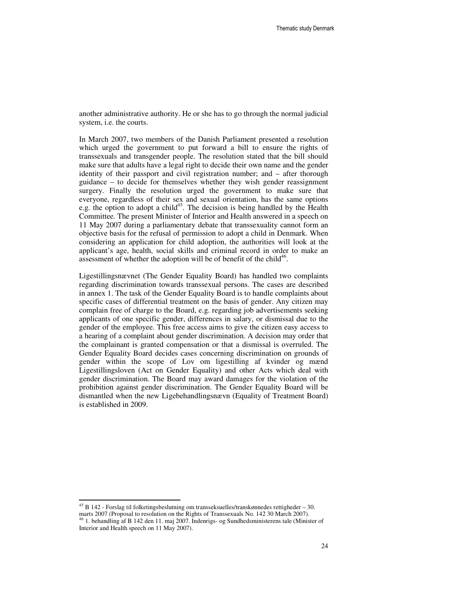another administrative authority. He or she has to go through the normal judicial system, i.e. the courts.

In March 2007, two members of the Danish Parliament presented a resolution which urged the government to put forward a bill to ensure the rights of transsexuals and transgender people. The resolution stated that the bill should make sure that adults have a legal right to decide their own name and the gender identity of their passport and civil registration number; and – after thorough guidance – to decide for themselves whether they wish gender reassignment surgery. Finally the resolution urged the government to make sure that everyone, regardless of their sex and sexual orientation, has the same options e.g. the option to adopt a child<sup>45</sup>. The decision is being handled by the Health Committee. The present Minister of Interior and Health answered in a speech on 11 May 2007 during a parliamentary debate that transsexuality cannot form an objective basis for the refusal of permission to adopt a child in Denmark. When considering an application for child adoption, the authorities will look at the applicant's age, health, social skills and criminal record in order to make an assessment of whether the adoption will be of benefit of the child $46$ .

Ligestillingsnævnet (The Gender Equality Board) has handled two complaints regarding discrimination towards transsexual persons. The cases are described in annex 1. The task of the Gender Equality Board is to handle complaints about specific cases of differential treatment on the basis of gender. Any citizen may complain free of charge to the Board, e.g. regarding job advertisements seeking applicants of one specific gender, differences in salary, or dismissal due to the gender of the employee. This free access aims to give the citizen easy access to a hearing of a complaint about gender discrimination. A decision may order that the complainant is granted compensation or that a dismissal is overruled. The Gender Equality Board decides cases concerning discrimination on grounds of gender within the scope of Lov om ligestilling af kvinder og mænd Ligestillingsloven (Act on Gender Equality) and other Acts which deal with gender discrimination. The Board may award damages for the violation of the prohibition against gender discrimination. The Gender Equality Board will be dismantled when the new Ligebehandlingsnævn (Equality of Treatment Board) is established in 2009.

 $^{45}$  B 142 - Forslag til folketingsbeslutning om transseksuelles/transkønnedes rettigheder – 30. marts 2007 (Proposal to resolution on the Rights of Transsexuals No. 142 30 March 2007).

 $\frac{1}{6}$  1. behandling af B 142 den 11. maj 2007. Indenrigs- og Sundhedsministerens tale (Minister of Interior and Health speech on 11 May 2007).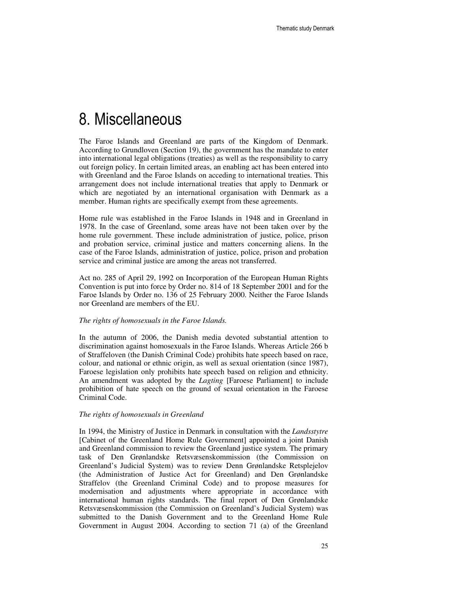# 8. Miscellaneous

The Faroe Islands and Greenland are parts of the Kingdom of Denmark. According to Grundloven (Section 19), the government has the mandate to enter into international legal obligations (treaties) as well as the responsibility to carry out foreign policy. In certain limited areas, an enabling act has been entered into with Greenland and the Faroe Islands on acceding to international treaties. This arrangement does not include international treaties that apply to Denmark or which are negotiated by an international organisation with Denmark as a member. Human rights are specifically exempt from these agreements.

Home rule was established in the Faroe Islands in 1948 and in Greenland in 1978. In the case of Greenland, some areas have not been taken over by the home rule government. These include administration of justice, police, prison and probation service, criminal justice and matters concerning aliens. In the case of the Faroe Islands, administration of justice, police, prison and probation service and criminal justice are among the areas not transferred.

Act no. 285 of April 29, 1992 on Incorporation of the European Human Rights Convention is put into force by Order no. 814 of 18 September 2001 and for the Faroe Islands by Order no. 136 of 25 February 2000. Neither the Faroe Islands nor Greenland are members of the EU.

#### *The rights of homosexuals in the Faroe Islands.*

In the autumn of 2006, the Danish media devoted substantial attention to discrimination against homosexuals in the Faroe Islands. Whereas Article 266 b of Straffeloven (the Danish Criminal Code) prohibits hate speech based on race, colour, and national or ethnic origin, as well as sexual orientation (since 1987), Faroese legislation only prohibits hate speech based on religion and ethnicity. An amendment was adopted by the *Lagting* [Faroese Parliament] to include prohibition of hate speech on the ground of sexual orientation in the Faroese Criminal Code.

#### *The rights of homosexuals in Greenland*

In 1994, the Ministry of Justice in Denmark in consultation with the *Landsstytre*  [Cabinet of the Greenland Home Rule Government] appointed a joint Danish and Greenland commission to review the Greenland justice system. The primary task of Den Grønlandske Retsvæsenskommission (the Commission on Greenland's Judicial System) was to review Denn Grønlandske Retsplejelov (the Administration of Justice Act for Greenland) and Den Grønlandske Straffelov (the Greenland Criminal Code) and to propose measures for modernisation and adjustments where appropriate in accordance with international human rights standards. The final report of Den Grønlandske Retsvæsenskommission (the Commission on Greenland's Judicial System) was submitted to the Danish Government and to the Greenland Home Rule Government in August 2004. According to section 71 (a) of the Greenland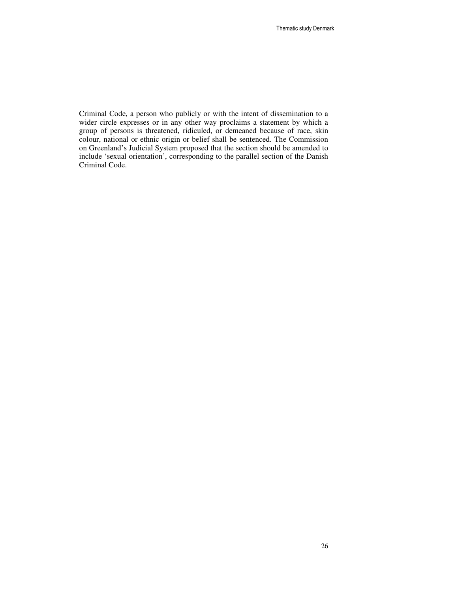Criminal Code, a person who publicly or with the intent of dissemination to a wider circle expresses or in any other way proclaims a statement by which a group of persons is threatened, ridiculed, or demeaned because of race, skin colour, national or ethnic origin or belief shall be sentenced. The Commission on Greenland's Judicial System proposed that the section should be amended to include 'sexual orientation', corresponding to the parallel section of the Danish Criminal Code.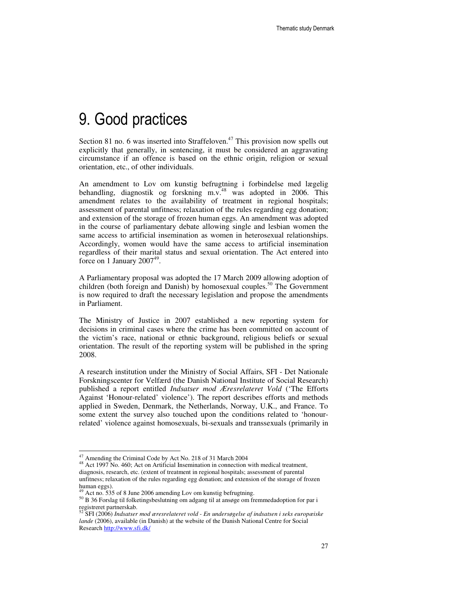# 9. Good practices

Section 81 no. 6 was inserted into Straffeloven.<sup>47</sup> This provision now spells out explicitly that generally, in sentencing, it must be considered an aggravating circumstance if an offence is based on the ethnic origin, religion or sexual orientation, etc., of other individuals.

An amendment to Lov om kunstig befrugtning i forbindelse med lægelig behandling, diagnostik og forskning m.v. $48$  was adopted in 2006. This amendment relates to the availability of treatment in regional hospitals; assessment of parental unfitness; relaxation of the rules regarding egg donation; and extension of the storage of frozen human eggs. An amendment was adopted in the course of parliamentary debate allowing single and lesbian women the same access to artificial insemination as women in heterosexual relationships. Accordingly, women would have the same access to artificial insemination regardless of their marital status and sexual orientation. The Act entered into force on 1 January  $2007<sup>49</sup>$ .

A Parliamentary proposal was adopted the 17 March 2009 allowing adoption of children (both foreign and Danish) by homosexual couples.<sup>50</sup> The Government is now required to draft the necessary legislation and propose the amendments in Parliament.

The Ministry of Justice in 2007 established a new reporting system for decisions in criminal cases where the crime has been committed on account of the victim's race, national or ethnic background, religious beliefs or sexual orientation. The result of the reporting system will be published in the spring 2008.

A research institution under the Ministry of Social Affairs, SFI - Det Nationale Forskningscenter for Velfærd (the Danish National Institute of Social Research) published a report entitled *Indsatser mod Æresrelateret Vold* ('The Efforts Against 'Honour-related' violence'). The report describes efforts and methods applied in Sweden, Denmark, the Netherlands, Norway, U.K., and France. To some extent the survey also touched upon the conditions related to 'honourrelated' violence against homosexuals, bi-sexuals and transsexuals (primarily in

 $\overline{\phantom{a}}$ 

<sup>&</sup>lt;sup>47</sup> Amending the Criminal Code by Act No. 218 of 31 March 2004

<sup>&</sup>lt;sup>48</sup> Act 1997 No. 460; Act on Artificial Insemination in connection with medical treatment, diagnosis, research, etc. (extent of treatment in regional hospitals; assessment of parental unfitness; relaxation of the rules regarding egg donation; and extension of the storage of frozen human eggs).

Act no. 535 of 8 June 2006 amending Lov om kunstig befrugtning.

<sup>50</sup> B 36 Forslag til folketingsbeslutning om adgang til at ansøge om fremmedadoption for par i registreret partnerskab.

<sup>52</sup> SFI (2006) *Indsatser mod æresrelateret vold - En undersøgelse af indsatsen i seks europæiske lande* (2006), available (in Danish) at the website of the Danish National Centre for Social Research http://www.sfi.dk/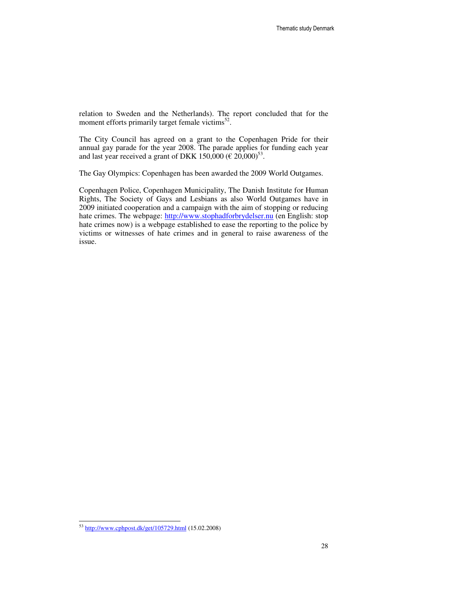relation to Sweden and the Netherlands). The report concluded that for the moment efforts primarily target female victims<sup>52</sup>.

The City Council has agreed on a grant to the Copenhagen Pride for their annual gay parade for the year 2008. The parade applies for funding each year and last year received a grant of DKK 150,000 ( $\epsilon$  20,000)<sup>53</sup>.

The Gay Olympics: Copenhagen has been awarded the 2009 World Outgames.

Copenhagen Police, Copenhagen Municipality, The Danish Institute for Human Rights, The Society of Gays and Lesbians as also World Outgames have in 2009 initiated cooperation and a campaign with the aim of stopping or reducing hate crimes. The webpage: http://www.stophadforbrydelser.nu (en English: stop hate crimes now) is a webpage established to ease the reporting to the police by victims or witnesses of hate crimes and in general to raise awareness of the issue.

<sup>&</sup>lt;sup>53</sup> http://www.cphpost.dk/get/105729.html (15.02.2008)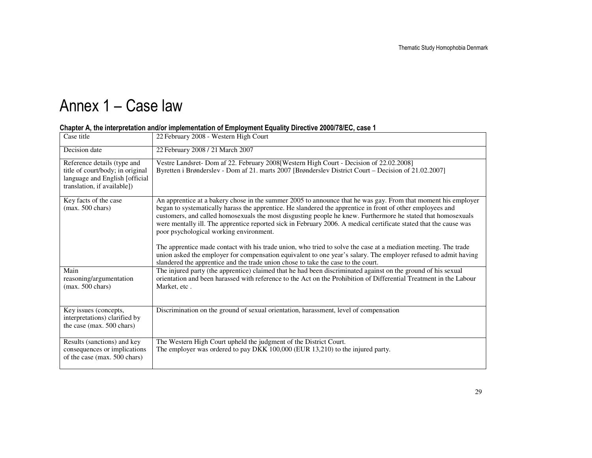# Annex 1 – Case law

| Case title                                                                                                                       | 22 February 2008 - Western High Court                                                                                                                                                                                                                                                                                                                                                                                                                                                                                                                                                                                                                                                                                                                                                                                                  |
|----------------------------------------------------------------------------------------------------------------------------------|----------------------------------------------------------------------------------------------------------------------------------------------------------------------------------------------------------------------------------------------------------------------------------------------------------------------------------------------------------------------------------------------------------------------------------------------------------------------------------------------------------------------------------------------------------------------------------------------------------------------------------------------------------------------------------------------------------------------------------------------------------------------------------------------------------------------------------------|
| Decision date                                                                                                                    | 22 February 2008 / 21 March 2007                                                                                                                                                                                                                                                                                                                                                                                                                                                                                                                                                                                                                                                                                                                                                                                                       |
| Reference details (type and<br>title of court/body; in original<br>language and English [official<br>translation, if available]) | Vestre Landsret- Dom af 22. February 2008 [Western High Court - Decision of 22.02.2008]<br>Byretten i Brønderslev - Dom af 21. marts 2007 [Brønderslev District Court – Decision of 21.02.2007]                                                                                                                                                                                                                                                                                                                                                                                                                                                                                                                                                                                                                                        |
| Key facts of the case<br>$(max. 500 \text{ chars})$                                                                              | An apprentice at a bakery chose in the summer 2005 to announce that he was gay. From that moment his employer<br>began to systematically harass the apprentice. He slandered the apprentice in front of other employees and<br>customers, and called homosexuals the most disgusting people he knew. Furthermore he stated that homosexuals<br>were mentally ill. The apprentice reported sick in February 2006. A medical certificate stated that the cause was<br>poor psychological working environment.<br>The apprentice made contact with his trade union, who tried to solve the case at a mediation meeting. The trade<br>union asked the employer for compensation equivalent to one year's salary. The employer refused to admit having<br>slandered the apprentice and the trade union chose to take the case to the court. |
| Main<br>reasoning/argumentation<br>$(max. 500 \text{ chars})$                                                                    | The injured party (the apprentice) claimed that he had been discriminated against on the ground of his sexual<br>orientation and been harassed with reference to the Act on the Prohibition of Differential Treatment in the Labour<br>Market, etc.                                                                                                                                                                                                                                                                                                                                                                                                                                                                                                                                                                                    |
| Key issues (concepts,<br>interpretations) clarified by<br>the case (max. 500 chars)                                              | Discrimination on the ground of sexual orientation, harassment, level of compensation                                                                                                                                                                                                                                                                                                                                                                                                                                                                                                                                                                                                                                                                                                                                                  |
| Results (sanctions) and key<br>consequences or implications<br>of the case (max. 500 chars)                                      | The Western High Court upheld the judgment of the District Court.<br>The employer was ordered to pay DKK 100,000 (EUR 13,210) to the injured party.                                                                                                                                                                                                                                                                                                                                                                                                                                                                                                                                                                                                                                                                                    |

### Chapter A, the interpretation and/or implementation of Employment Equality Directive 2000/78/EC, case 1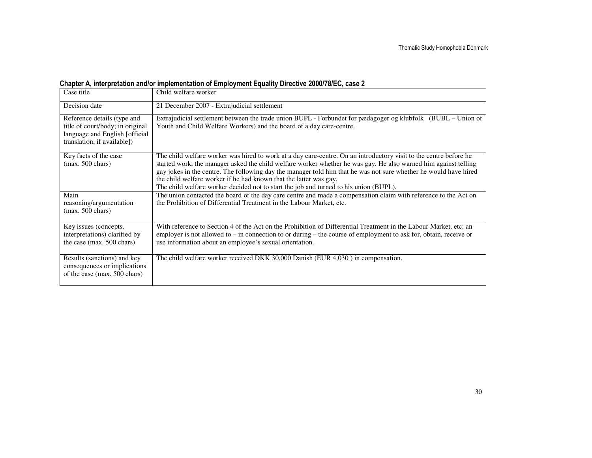## Chapter A, interpretation and/or implementation of Employment Equality Directive 2000/78/EC, case 2

| Case title                                                                                                                        | Child welfare worker                                                                                                                                                                                                                                                                                                                                                                                                                                                                                                   |
|-----------------------------------------------------------------------------------------------------------------------------------|------------------------------------------------------------------------------------------------------------------------------------------------------------------------------------------------------------------------------------------------------------------------------------------------------------------------------------------------------------------------------------------------------------------------------------------------------------------------------------------------------------------------|
| Decision date                                                                                                                     | 21 December 2007 - Extrajudicial settlement                                                                                                                                                                                                                                                                                                                                                                                                                                                                            |
| Reference details (type and<br>title of court/body; in original<br>language and English [official]<br>translation, if available]) | Extrajudicial settlement between the trade union BUPL - Forbundet for pædagoger og klubfolk (BUBL – Union of<br>Youth and Child Welfare Workers) and the board of a day care-centre.                                                                                                                                                                                                                                                                                                                                   |
| Key facts of the case<br>$(max. 500 \text{ chars})$                                                                               | The child welfare worker was hired to work at a day care-centre. On an introductory visit to the centre before he<br>started work, the manager asked the child welfare worker whether he was gay. He also warned him against telling<br>gay jokes in the centre. The following day the manager told him that he was not sure whether he would have hired<br>the child welfare worker if he had known that the latter was gay.<br>The child welfare worker decided not to start the job and turned to his union (BUPL). |
| Main<br>reasoning/argumentation<br>$(max. 500 \text{ chars})$                                                                     | The union contacted the board of the day care centre and made a compensation claim with reference to the Act on<br>the Prohibition of Differential Treatment in the Labour Market, etc.                                                                                                                                                                                                                                                                                                                                |
| Key issues (concepts,<br>interpretations) clarified by<br>the case (max. 500 chars)                                               | With reference to Section 4 of the Act on the Prohibition of Differential Treatment in the Labour Market, etc: an<br>employer is not allowed to $-$ in connection to or during $-$ the course of employment to ask for, obtain, receive or<br>use information about an employee's sexual orientation.                                                                                                                                                                                                                  |
| Results (sanctions) and key<br>consequences or implications<br>of the case (max. 500 chars)                                       | The child welfare worker received DKK 30,000 Danish (EUR 4,030) in compensation.                                                                                                                                                                                                                                                                                                                                                                                                                                       |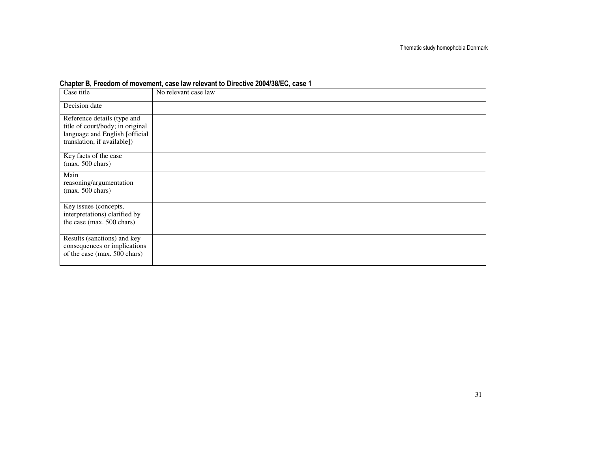### Chapter B, Freedom of movement, case law relevant to Directive 2004/38/EC, case 1

| Case title                                                      | No relevant case law |
|-----------------------------------------------------------------|----------------------|
| Decision date                                                   |                      |
| Reference details (type and<br>title of court/body; in original |                      |
| language and English [official                                  |                      |
| translation, if available])                                     |                      |
| Key facts of the case<br>$(max. 500 \text{ chars})$             |                      |
| Main                                                            |                      |
| reasoning/argumentation<br>$(max. 500 \text{ chars})$           |                      |
|                                                                 |                      |
| Key issues (concepts,<br>interpretations) clarified by          |                      |
| the case (max. 500 chars)                                       |                      |
| Results (sanctions) and key<br>consequences or implications     |                      |
| of the case (max. 500 chars)                                    |                      |
|                                                                 |                      |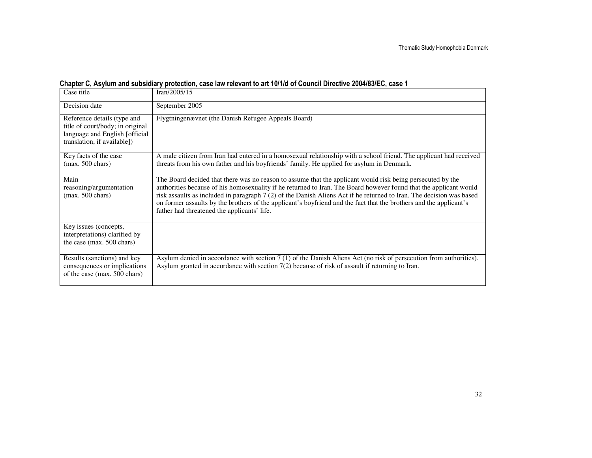|  | Chapter C, Asylum and subsidiary protection, case law relevant to art 10/1/d of Council Directive 2004/83/EC, case 1 |  |  |  |
|--|----------------------------------------------------------------------------------------------------------------------|--|--|--|
|  |                                                                                                                      |  |  |  |

| Case title                                                                                                                       | Iran/2005/15                                                                                                                                                                                                                                                                                                                                                                                                                                                                                                                 |
|----------------------------------------------------------------------------------------------------------------------------------|------------------------------------------------------------------------------------------------------------------------------------------------------------------------------------------------------------------------------------------------------------------------------------------------------------------------------------------------------------------------------------------------------------------------------------------------------------------------------------------------------------------------------|
| Decision date                                                                                                                    | September 2005                                                                                                                                                                                                                                                                                                                                                                                                                                                                                                               |
| Reference details (type and<br>title of court/body; in original<br>language and English [official<br>translation, if available]) | Flygtningenævnet (the Danish Refugee Appeals Board)                                                                                                                                                                                                                                                                                                                                                                                                                                                                          |
| Key facts of the case<br>$(max. 500 \text{ chars})$                                                                              | A male citizen from Iran had entered in a homosexual relationship with a school friend. The applicant had received<br>threats from his own father and his boyfriends' family. He applied for asylum in Denmark.                                                                                                                                                                                                                                                                                                              |
| Main<br>reasoning/argumentation<br>$(max. 500 \text{ chars})$                                                                    | The Board decided that there was no reason to assume that the applicant would risk being persecuted by the<br>authorities because of his homosexuality if he returned to Iran. The Board however found that the applicant would<br>risk assaults as included in paragraph 7 (2) of the Danish Aliens Act if he returned to Iran. The decision was based<br>on former assaults by the brothers of the applicant's boyfriend and the fact that the brothers and the applicant's<br>father had threatened the applicants' life. |
| Key issues (concepts,<br>interpretations) clarified by<br>the case (max. 500 chars)                                              |                                                                                                                                                                                                                                                                                                                                                                                                                                                                                                                              |
| Results (sanctions) and key<br>consequences or implications<br>of the case (max. 500 chars)                                      | Asylum denied in accordance with section 7 (1) of the Danish Aliens Act (no risk of persecution from authorities).<br>Asylum granted in accordance with section $7(2)$ because of risk of assault if returning to Iran.                                                                                                                                                                                                                                                                                                      |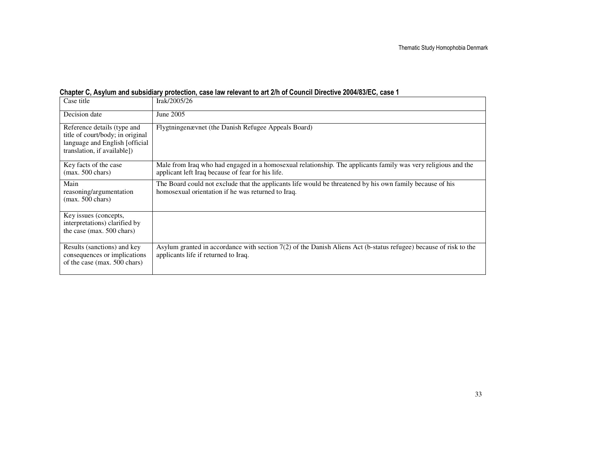### Chapter C, Asylum and subsidiary protection, case law relevant to art 2/h of Council Directive 2004/83/EC, case 1

| Case title                                                                                                                        | Irak/2005/26                                                                                                                                                       |
|-----------------------------------------------------------------------------------------------------------------------------------|--------------------------------------------------------------------------------------------------------------------------------------------------------------------|
| Decision date                                                                                                                     | June 2005                                                                                                                                                          |
| Reference details (type and<br>title of court/body; in original<br>language and English [official]<br>translation, if available]) | Flygtningenævnet (the Danish Refugee Appeals Board)                                                                                                                |
| Key facts of the case<br>$(max. 500 \text{ chars})$                                                                               | Male from Iraq who had engaged in a homosexual relationship. The applicants family was very religious and the<br>applicant left Iraq because of fear for his life. |
| Main<br>reasoning/argumentation<br>$(max. 500 \text{ chars})$                                                                     | The Board could not exclude that the applicants life would be threatened by his own family because of his<br>homosexual orientation if he was returned to Iraq.    |
| Key issues (concepts,<br>interpretations) clarified by<br>the case (max. 500 chars)                                               |                                                                                                                                                                    |
| Results (sanctions) and key<br>consequences or implications<br>of the case (max. 500 chars)                                       | Asylum granted in accordance with section 7(2) of the Danish Aliens Act (b-status refugee) because of risk to the<br>applicants life if returned to Iraq.          |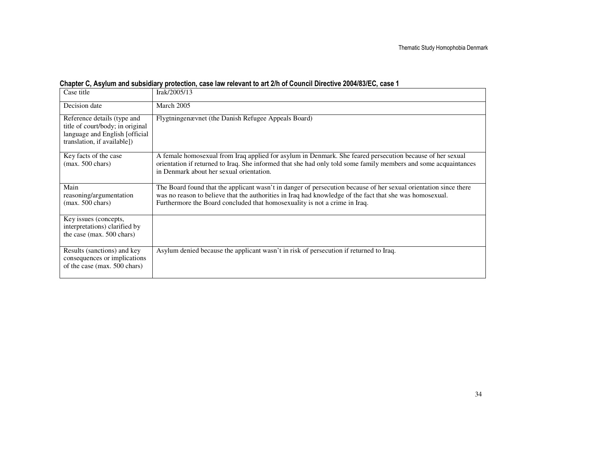| Chapter C, Asylum and subsidiary protection, case law relevant to art 2/h of Council Directive 2004/83/EC, case 1 |  |  |  |  |  |
|-------------------------------------------------------------------------------------------------------------------|--|--|--|--|--|
|-------------------------------------------------------------------------------------------------------------------|--|--|--|--|--|

| Case title                                                                                                                       | Irak/2005/13                                                                                                                                                                                                                                                                                               |
|----------------------------------------------------------------------------------------------------------------------------------|------------------------------------------------------------------------------------------------------------------------------------------------------------------------------------------------------------------------------------------------------------------------------------------------------------|
| Decision date                                                                                                                    | March 2005                                                                                                                                                                                                                                                                                                 |
| Reference details (type and<br>title of court/body; in original<br>language and English [official<br>translation, if available]) | Flygtningenævnet (the Danish Refugee Appeals Board)                                                                                                                                                                                                                                                        |
| Key facts of the case<br>$(max. 500 \text{ chars})$                                                                              | A female homosexual from Iraq applied for asylum in Denmark. She feared persecution because of her sexual<br>orientation if returned to Iraq. She informed that she had only told some family members and some acquaintances<br>in Denmark about her sexual orientation.                                   |
| Main<br>reasoning/argumentation<br>$(max. 500 \text{ chars})$                                                                    | The Board found that the applicant wasn't in danger of persecution because of her sexual orientation since there<br>was no reason to believe that the authorities in Iraq had knowledge of the fact that she was homosexual.<br>Furthermore the Board concluded that homosexuality is not a crime in Iraq. |
| Key issues (concepts,<br>interpretations) clarified by<br>the case (max. 500 chars)                                              |                                                                                                                                                                                                                                                                                                            |
| Results (sanctions) and key<br>consequences or implications<br>of the case (max. 500 chars)                                      | Asylum denied because the applicant wasn't in risk of persecution if returned to Iraq.                                                                                                                                                                                                                     |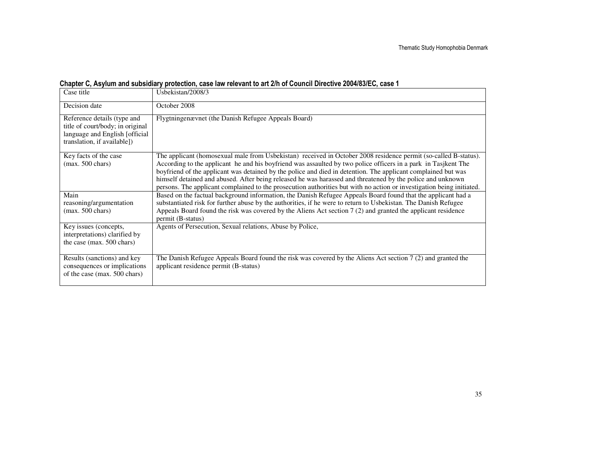|  | Chapter C, Asylum and subsidiary protection, case law relevant to art 2/h of Council Directive 2004/83/EC, case 1 |  |
|--|-------------------------------------------------------------------------------------------------------------------|--|
|  |                                                                                                                   |  |

| Case title                                                                                                                       | Usbekistan/2008/3                                                                                                                                                                                                                                                                                                                                                                                                                                                                                                                                                                         |
|----------------------------------------------------------------------------------------------------------------------------------|-------------------------------------------------------------------------------------------------------------------------------------------------------------------------------------------------------------------------------------------------------------------------------------------------------------------------------------------------------------------------------------------------------------------------------------------------------------------------------------------------------------------------------------------------------------------------------------------|
| Decision date                                                                                                                    | October 2008                                                                                                                                                                                                                                                                                                                                                                                                                                                                                                                                                                              |
| Reference details (type and<br>title of court/body; in original<br>language and English [official<br>translation, if available]) | Flygtningenævnet (the Danish Refugee Appeals Board)                                                                                                                                                                                                                                                                                                                                                                                                                                                                                                                                       |
| Key facts of the case<br>$(max. 500 \text{ chars})$                                                                              | The applicant (homosexual male from Usbekistan) received in October 2008 residence permit (so-called B-status).<br>According to the applicant he and his boyfriend was assaulted by two police officers in a park in Tasjkent The<br>boyfriend of the applicant was detained by the police and died in detention. The applicant complained but was<br>himself detained and abused. After being released he was harassed and threatened by the police and unknown<br>persons. The applicant complained to the prosecution authorities but with no action or investigation being initiated. |
| Main<br>reasoning/argumentation<br>$(max. 500 \text{ chars})$                                                                    | Based on the factual background information, the Danish Refugee Appeals Board found that the applicant had a<br>substantiated risk for further abuse by the authorities, if he were to return to Usbekistan. The Danish Refugee<br>Appeals Board found the risk was covered by the Aliens Act section $7(2)$ and granted the applicant residence<br>permit (B-status)                                                                                                                                                                                                                     |
| Key issues (concepts,<br>interpretations) clarified by<br>the case (max. 500 chars)                                              | Agents of Persecution, Sexual relations, Abuse by Police,                                                                                                                                                                                                                                                                                                                                                                                                                                                                                                                                 |
| Results (sanctions) and key<br>consequences or implications<br>of the case (max. 500 chars)                                      | The Danish Refugee Appeals Board found the risk was covered by the Aliens Act section $7(2)$ and granted the<br>applicant residence permit (B-status)                                                                                                                                                                                                                                                                                                                                                                                                                                     |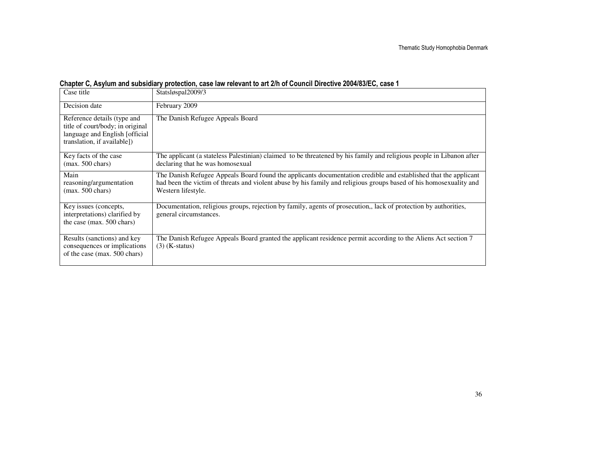| Case title                                                                                                                        | Statsløspal2009/3                                                                                                                                                                                                                                           |
|-----------------------------------------------------------------------------------------------------------------------------------|-------------------------------------------------------------------------------------------------------------------------------------------------------------------------------------------------------------------------------------------------------------|
| Decision date                                                                                                                     | February 2009                                                                                                                                                                                                                                               |
| Reference details (type and<br>title of court/body; in original<br>language and English [official]<br>translation, if available]) | The Danish Refugee Appeals Board                                                                                                                                                                                                                            |
| Key facts of the case<br>$(max. 500 \text{ chars})$                                                                               | The applicant (a stateless Palestinian) claimed to be threatened by his family and religious people in Libanon after<br>declaring that he was homosexual                                                                                                    |
| Main<br>reasoning/argumentation<br>$(max. 500 \text{ chars})$                                                                     | The Danish Refugee Appeals Board found the applicants documentation credible and established that the applicant<br>had been the victim of threats and violent abuse by his family and religious groups based of his homosexuality and<br>Western lifestyle. |
| Key issues (concepts,<br>interpretations) clarified by<br>the case (max. 500 chars)                                               | Documentation, religious groups, rejection by family, agents of prosecution,, lack of protection by authorities,<br>general circumstances.                                                                                                                  |
| Results (sanctions) and key<br>consequences or implications<br>of the case (max. 500 chars)                                       | The Danish Refugee Appeals Board granted the applicant residence permit according to the Aliens Act section 7<br>$(3)$ (K-status)                                                                                                                           |

## Chapter C, Asylum and subsidiary protection, case law relevant to art 2/h of Council Directive 2004/83/EC, case 1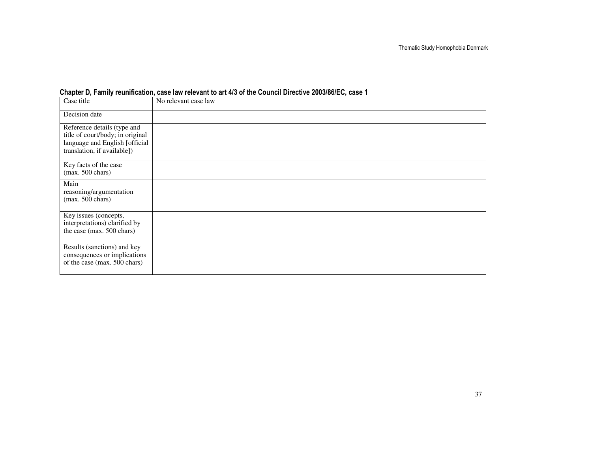| Case title                                                                                                                       | No relevant case law |
|----------------------------------------------------------------------------------------------------------------------------------|----------------------|
| Decision date                                                                                                                    |                      |
| Reference details (type and<br>title of court/body; in original<br>language and English [official<br>translation, if available]) |                      |
| Key facts of the case<br>$(max. 500 \text{ chars})$                                                                              |                      |
| Main<br>reasoning/argumentation<br>$(max. 500 \text{ chars})$                                                                    |                      |
| Key issues (concepts,<br>interpretations) clarified by<br>the case (max. 500 chars)                                              |                      |
| Results (sanctions) and key<br>consequences or implications<br>of the case (max. 500 chars)                                      |                      |

#### Chapter D, Family reunification, case law relevant to art 4/3 of the Council Directive 2003/86/EC, case 1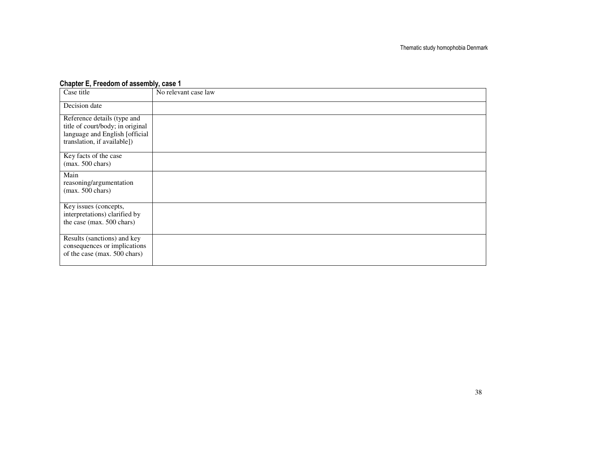### Chapter E, Freedom of assembly, case 1

| Case title                                                                                                                       | No relevant case law |
|----------------------------------------------------------------------------------------------------------------------------------|----------------------|
| Decision date                                                                                                                    |                      |
| Reference details (type and<br>title of court/body; in original<br>language and English [official<br>translation, if available]) |                      |
| Key facts of the case<br>$(max. 500 \text{ chars})$                                                                              |                      |
| Main<br>reasoning/argumentation<br>$(max. 500 \text{ chars})$                                                                    |                      |
| Key issues (concepts,<br>interpretations) clarified by<br>the case (max. 500 chars)                                              |                      |
| Results (sanctions) and key<br>consequences or implications<br>of the case (max. 500 chars)                                      |                      |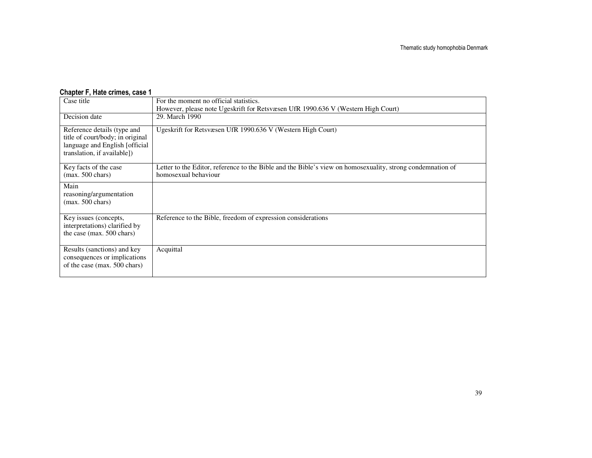#### **Chapter F, Hate crimes, case 1**<br>Case title For the moment no official statistics. However, please note Ugeskrift for Retsvæsen UfR 1990.636 V (Western High Court) Decision date 29. March 1990 Reference details (type and title of court/body; in original language and English [official translation, if available]) Ugeskrift for Retsvæsen UfR 1990.636 V (Western High Court) Key facts of the case (max. 500 chars) Letter to the Editor, reference to the Bible and the Bible's view on homosexuality, strong condemnation of homosexual behaviour Main reasoning/argumentation  $(max. 500 \text{ chars})$ Key issues (concepts, interpretations) clarified by the case (max. 500 chars) Reference to the Bible, freedom of expression considerations Results (sanctions) and key consequences or implications of the case (max.  $500$  chars) Acquittal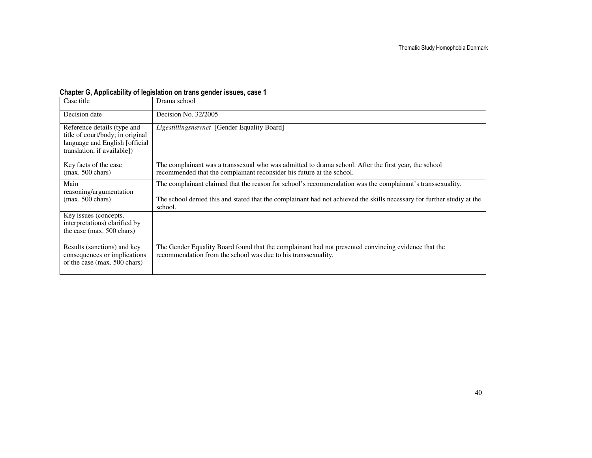### Chapter G, Applicability of legislation on trans gender issues, case 1

| Case title                                                                                                                       | Drama school                                                                                                                                                                                                                                   |
|----------------------------------------------------------------------------------------------------------------------------------|------------------------------------------------------------------------------------------------------------------------------------------------------------------------------------------------------------------------------------------------|
| Decision date                                                                                                                    | Decision No. 32/2005                                                                                                                                                                                                                           |
| Reference details (type and<br>title of court/body; in original<br>language and English [official<br>translation, if available]) | Ligestillingsnævnet [Gender Equality Board]                                                                                                                                                                                                    |
| Key facts of the case<br>$(max. 500 \text{ chars})$                                                                              | The complainant was a transsexual who was admitted to drama school. After the first year, the school<br>recommended that the complainant reconsider his future at the school.                                                                  |
| Main<br>reasoning/argumentation<br>$(max. 500 \text{ chars})$                                                                    | The complainant claimed that the reason for school's recommendation was the complainant's transsexuality.<br>The school denied this and stated that the complainant had not achieved the skills necessary for further studiy at the<br>school. |
| Key issues (concepts,<br>interpretations) clarified by<br>the case (max. 500 chars)                                              |                                                                                                                                                                                                                                                |
| Results (sanctions) and key<br>consequences or implications<br>of the case (max. 500 chars)                                      | The Gender Equality Board found that the complainant had not presented convincing evidence that the<br>recommendation from the school was due to his transsexuality.                                                                           |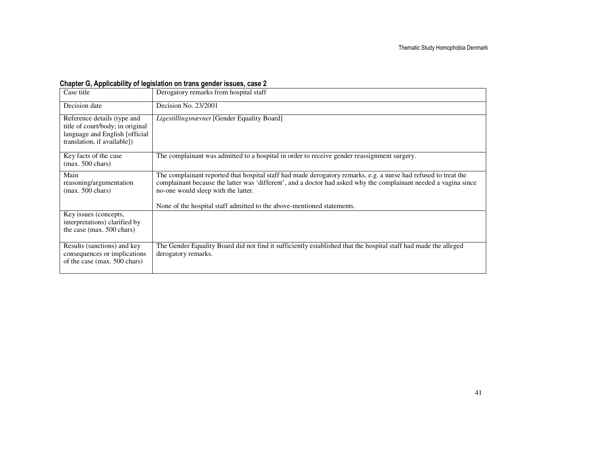## Chapter G, Applicability of legislation on trans gender issues, case 2

| Case title                                                                                                                        | Derogatory remarks from hospital staff                                                                                                                                                                                                                                                                                                               |
|-----------------------------------------------------------------------------------------------------------------------------------|------------------------------------------------------------------------------------------------------------------------------------------------------------------------------------------------------------------------------------------------------------------------------------------------------------------------------------------------------|
| Decision date                                                                                                                     | Decision No. 23/2001                                                                                                                                                                                                                                                                                                                                 |
| Reference details (type and<br>title of court/body; in original<br>language and English [official]<br>translation, if available]) | Ligestillingsnævnet [Gender Equality Board]                                                                                                                                                                                                                                                                                                          |
| Key facts of the case<br>$(max. 500 \text{ chars})$                                                                               | The complainant was admitted to a hospital in order to receive gender reassignment surgery.                                                                                                                                                                                                                                                          |
| Main<br>reasoning/argumentation<br>$(max. 500 \text{ chars})$                                                                     | The complainant reported that hospital staff had made derogatory remarks, e.g. a nurse had refused to treat the<br>complainant because the latter was 'different', and a doctor had asked why the complainant needed a vagina since<br>no-one would sleep with the latter.<br>None of the hospital staff admitted to the above-mentioned statements. |
| Key issues (concepts,<br>interpretations) clarified by<br>the case (max. 500 chars)                                               |                                                                                                                                                                                                                                                                                                                                                      |
| Results (sanctions) and key<br>consequences or implications<br>of the case (max. 500 chars)                                       | The Gender Equality Board did not find it sufficiently established that the hospital staff had made the alleged<br>derogatory remarks.                                                                                                                                                                                                               |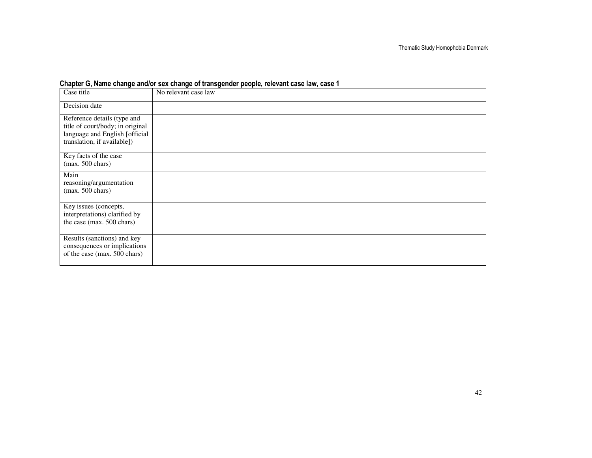|  |  | Chapter G, Name change and/or sex change of transgender people, relevant case law, case 1 |  |  |  |  |  |  |  |
|--|--|-------------------------------------------------------------------------------------------|--|--|--|--|--|--|--|
|  |  |                                                                                           |  |  |  |  |  |  |  |

| Case title                                                                                                                       | No relevant case law |
|----------------------------------------------------------------------------------------------------------------------------------|----------------------|
| Decision date                                                                                                                    |                      |
| Reference details (type and<br>title of court/body; in original<br>language and English [official<br>translation, if available]) |                      |
| Key facts of the case<br>$(max. 500 \text{ chars})$                                                                              |                      |
| Main<br>reasoning/argumentation<br>$(max. 500 \text{ chars})$                                                                    |                      |
| Key issues (concepts,<br>interpretations) clarified by<br>the case (max. 500 chars)                                              |                      |
| Results (sanctions) and key<br>consequences or implications<br>of the case (max. 500 chars)                                      |                      |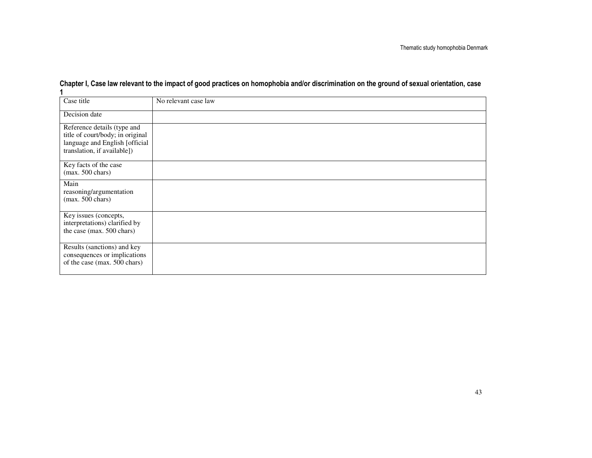| Case title                                                                                                                       | No relevant case law |
|----------------------------------------------------------------------------------------------------------------------------------|----------------------|
| Decision date                                                                                                                    |                      |
| Reference details (type and<br>title of court/body; in original<br>language and English [official<br>translation, if available]) |                      |
| Key facts of the case<br>$(max. 500 \text{ chars})$                                                                              |                      |
| Main<br>reasoning/argumentation<br>$(max. 500 \text{ chars})$                                                                    |                      |
| Key issues (concepts,<br>interpretations) clarified by<br>the case (max. 500 chars)                                              |                      |
| Results (sanctions) and key<br>consequences or implications<br>of the case (max. 500 chars)                                      |                      |

# Chapter I, Case law relevant to the impact of good practices on homophobia and/or discrimination on the ground of sexual orientation, case 1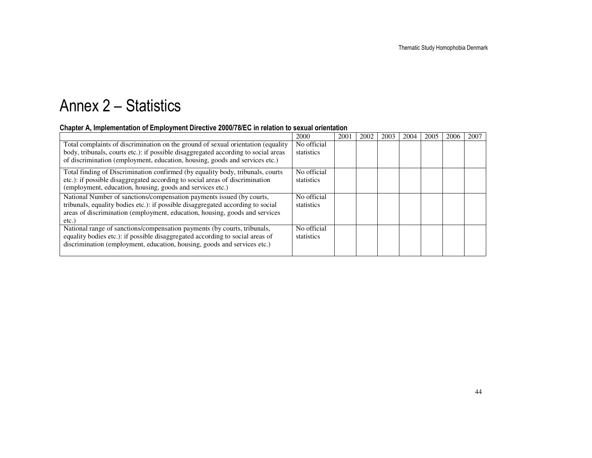# Annex 2 – Statistics

### Chapter A, Implementation of Employment Directive 2000/78/EC in relation to sexual orientation

|                                                                                                                                                                                                                                                       | 2000                      | 2001 | 2002 | 2003 | 2004 | 2005 | 2006 | 2007 |
|-------------------------------------------------------------------------------------------------------------------------------------------------------------------------------------------------------------------------------------------------------|---------------------------|------|------|------|------|------|------|------|
| Total complaints of discrimination on the ground of sexual orientation (equality<br>body, tribunals, courts etc.): if possible disaggregated according to social areas<br>of discrimination (employment, education, housing, goods and services etc.) | No official<br>statistics |      |      |      |      |      |      |      |
| Total finding of Discrimination confirmed (by equality body, tribunals, courts<br>etc.): if possible disaggregated according to social areas of discrimination<br>(employment, education, housing, goods and services etc.)                           | No official<br>statistics |      |      |      |      |      |      |      |
| National Number of sanctions/compensation payments issued (by courts,<br>tribunals, equality bodies etc.): if possible disaggregated according to social<br>areas of discrimination (employment, education, housing, goods and services<br>$etc.$ )   | No official<br>statistics |      |      |      |      |      |      |      |
| National range of sanctions/compensation payments (by courts, tribunals,<br>equality bodies etc.): if possible disaggregated according to social areas of<br>discrimination (employment, education, housing, goods and services etc.)                 | No official<br>statistics |      |      |      |      |      |      |      |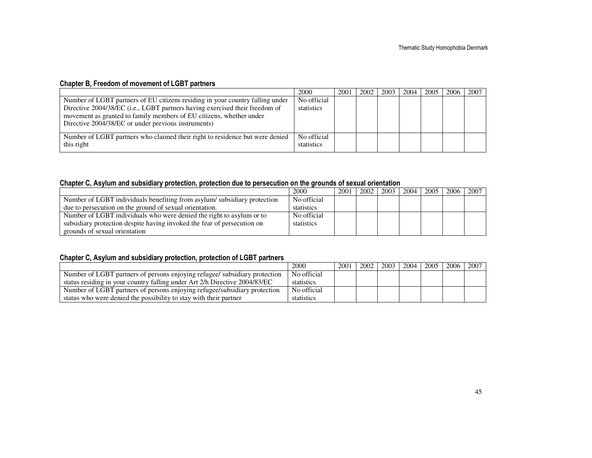### Chapter B, Freedom of movement of LGBT partners

| 2000        | 2001 | 2002 | 2003 | 2004 | 200c | 2007 |
|-------------|------|------|------|------|------|------|
| No official |      |      |      |      |      |      |
| statistics  |      |      |      |      |      |      |
|             |      |      |      |      |      |      |
|             |      |      |      |      |      |      |
|             |      |      |      |      |      |      |
| No official |      |      |      |      |      |      |
| statistics  |      |      |      |      |      |      |
|             |      |      |      |      |      | 2005 |

### Chapter C, Asylum and subsidiary protection, protection due to persecution on the grounds of sexual orientation

|                                                                         | 2000        | 2001 | 2002 | 2003 | 2004 | 2005 | 2006 | 2007 |
|-------------------------------------------------------------------------|-------------|------|------|------|------|------|------|------|
| Number of LGBT individuals benefiting from asylum/subsidiary protection | No official |      |      |      |      |      |      |      |
| due to persecution on the ground of sexual orientation.                 | statistics  |      |      |      |      |      |      |      |
| Number of LGBT individuals who were denied the right to asylum or to    | No official |      |      |      |      |      |      |      |
| subsidiary protection despite having invoked the fear of persecution on | statistics  |      |      |      |      |      |      |      |
| grounds of sexual orientation                                           |             |      |      |      |      |      |      |      |

### Chapter C, Asylum and subsidiary protection, protection of LGBT partners

|                                                                            | 2000        | 2001 | 2002 | 2003 | 2004 | 2005 | 2006 | 2007 |
|----------------------------------------------------------------------------|-------------|------|------|------|------|------|------|------|
| Number of LGBT partners of persons enjoying refugee/ subsidiary protection | No official |      |      |      |      |      |      |      |
| status residing in your country falling under Art 2/h Directive 2004/83/EC | statistics  |      |      |      |      |      |      |      |
| Number of LGBT partners of persons enjoying refugee/subsidiary protection  | No official |      |      |      |      |      |      |      |
| status who were denied the possibility to stay with their partner          | statistics  |      |      |      |      |      |      |      |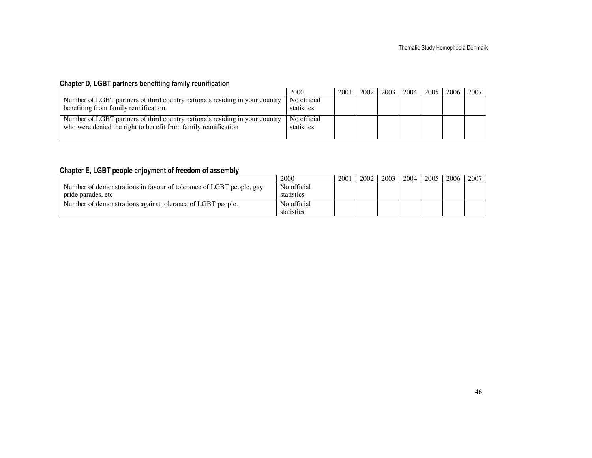## Chapter D, LGBT partners benefiting family reunification

|                                                                                                                                               | 2000                      | 2001 | 2002 | 2003 | 2004 | 2005 | 2006 | 2007 |
|-----------------------------------------------------------------------------------------------------------------------------------------------|---------------------------|------|------|------|------|------|------|------|
| Number of LGBT partners of third country nationals residing in your country                                                                   | No official               |      |      |      |      |      |      |      |
| benefiting from family reunification.                                                                                                         | statistics                |      |      |      |      |      |      |      |
| Number of LGBT partners of third country nationals residing in your country<br>who were denied the right to benefit from family reunification | No official<br>statistics |      |      |      |      |      |      |      |

### Chapter E, LGBT people enjoyment of freedom of assembly

|                                                                     | 2000        | 2001 | 2002 | 2003 | 2004 | 2005 | 2006 | 2007 |
|---------------------------------------------------------------------|-------------|------|------|------|------|------|------|------|
| Number of demonstrations in favour of tolerance of LGBT people, gay | No official |      |      |      |      |      |      |      |
| pride parades, etc                                                  | statistics  |      |      |      |      |      |      |      |
| Number of demonstrations against tolerance of LGBT people.          | No official |      |      |      |      |      |      |      |
|                                                                     | statistics  |      |      |      |      |      |      |      |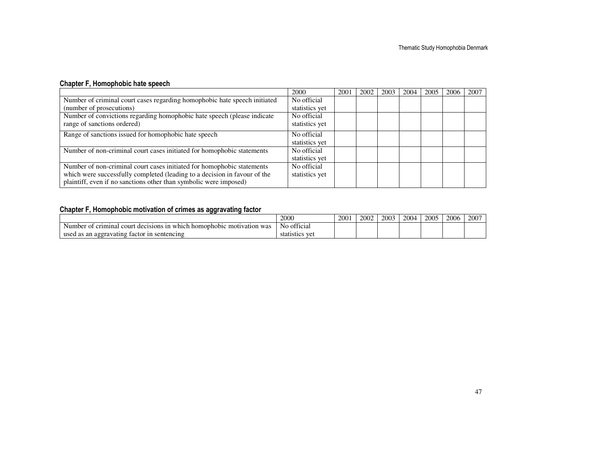## Chapter F, Homophobic hate speech

|                                                                           | 2000           | 2001 | 2002 | 2003 | 2004 | 2005 | 2006 | 2007 |
|---------------------------------------------------------------------------|----------------|------|------|------|------|------|------|------|
| Number of criminal court cases regarding homophobic hate speech initiated | No official    |      |      |      |      |      |      |      |
| (number of prosecutions)                                                  | statistics yet |      |      |      |      |      |      |      |
| Number of convictions regarding homophobic hate speech (please indicate   | No official    |      |      |      |      |      |      |      |
| range of sanctions ordered)                                               | statistics yet |      |      |      |      |      |      |      |
| Range of sanctions issued for homophobic hate speech                      | No official    |      |      |      |      |      |      |      |
|                                                                           | statistics yet |      |      |      |      |      |      |      |
| Number of non-criminal court cases initiated for homophobic statements    | No official    |      |      |      |      |      |      |      |
|                                                                           | statistics yet |      |      |      |      |      |      |      |
| Number of non-criminal court cases initiated for homophobic statements    | No official    |      |      |      |      |      |      |      |
| which were successfully completed (leading to a decision in favour of the | statistics yet |      |      |      |      |      |      |      |
| plaintiff, even if no sanctions other than symbolic were imposed)         |                |      |      |      |      |      |      |      |

## Chapter F, Homophobic motivation of crimes as aggravating factor

|                                                                                                      | 2000                                               | 2001 | 2002 | 2003 | 2004 | 2005 | 2006 | 2007 |
|------------------------------------------------------------------------------------------------------|----------------------------------------------------|------|------|------|------|------|------|------|
| court<br>Number<br>of criminal<br>was<br>iomophobic<br>decisions<br>ivation<br>1 n<br>mot<br>$W$ nic | $\sim$<br>official                                 |      |      |      |      |      |      |      |
| usea<br>s an aggravating-<br>taetor<br>sentencing<br>ำท<br>as                                        | $\tau$ <sub>10</sub> 1<br>100<br>statistics<br>"VL |      |      |      |      |      |      |      |